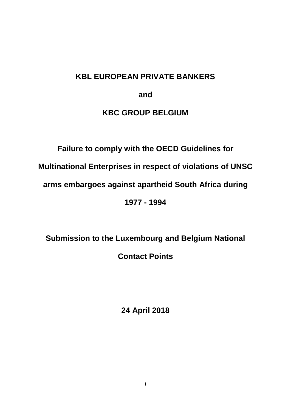# **KBL EUROPEAN PRIVATE BANKERS**

**and**

## **KBC GROUP BELGIUM**

# **Failure to comply with the OECD Guidelines for**

**Multinational Enterprises in respect of violations of UNSC** 

**arms embargoes against apartheid South Africa during** 

**1977 - 1994**

**Submission to the Luxembourg and Belgium National Contact Points**

**24 April 2018**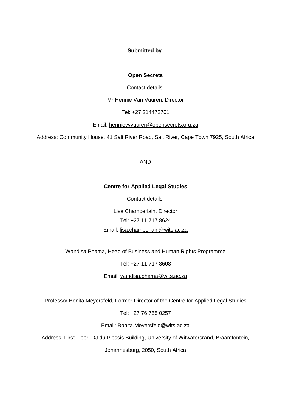### **Submitted by:**

#### **Open Secrets**

Contact details:

Mr Hennie Van Vuuren, Director

Tel: +27 214472701

Email: [hennievvvuuren@opensecrets.org.za](mailto:hennievvvuuren@opensecrets.org.za)

Address: Community House, 41 Salt River Road, Salt River, Cape Town 7925, South Africa

AND

#### **Centre for Applied Legal Studies**

Contact details:

Lisa Chamberlain, Director Tel: +27 11 717 8624 Email: [lisa.chamberlain@wits.ac.za](mailto:lisa.chamberlain@wits.ac.za)

Wandisa Phama, Head of Business and Human Rights Programme

Tel: +27 11 717 8608

Email: [wandisa.phama@wits.ac.za](mailto:wandisa.phama@wits.ac.za)

Professor Bonita Meyersfeld, Former Director of the Centre for Applied Legal Studies

Tel: +27 76 755 0257

Email: [Bonita.Meyersfeld@wits.ac.za](mailto:Bonita.Meyersfeld@wits.ac.za)

Address: First Floor, DJ du Plessis Building, University of Witwatersrand, Braamfontein,

Johannesburg, 2050, South Africa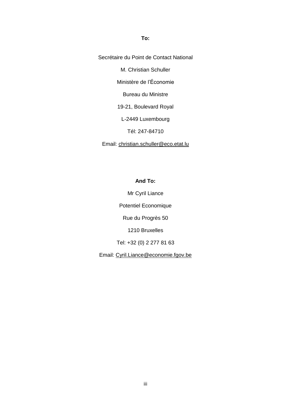**To:**

Secrétaire du Point de Contact National

M. Christian Schuller

Ministère de l"Économie

Bureau du Ministre

19-21, Boulevard Royal

L-2449 Luxembourg

Tél: 247-84710

Email: [christian.schuller@eco.etat.lu](mailto:christian.schuller@eco.etat.lu)

**And To:**

Mr Cyril Liance

Potentiel Economique

Rue du Progrès 50

1210 Bruxelles

Tel: +32 (0) 2 277 81 63

Email: [Cyril.Liance@economie.fgov.be](mailto:Cyril.Liance@economie.fgov.be)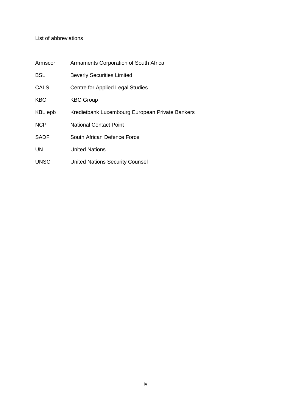### List of abbreviations

| Armscor     | Armaments Corporation of South Africa           |
|-------------|-------------------------------------------------|
| <b>BSL</b>  | <b>Beverly Securities Limited</b>               |
| CALS        | Centre for Applied Legal Studies                |
| <b>KBC</b>  | <b>KBC Group</b>                                |
| KBL epb     | Kredietbank Luxembourg European Private Bankers |
| <b>NCP</b>  | <b>National Contact Point</b>                   |
| <b>SADF</b> | South African Defence Force                     |
| UN          | <b>United Nations</b>                           |
| <b>UNSC</b> | <b>United Nations Security Counsel</b>          |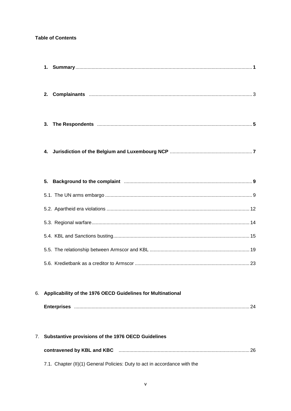### **Table of Contents**

|    | 2.                                                                                                              |  |
|----|-----------------------------------------------------------------------------------------------------------------|--|
|    | 3.                                                                                                              |  |
|    | 4.                                                                                                              |  |
|    | Background to the complaint manufacture and all the complaint different manufacture and all the complaint<br>5. |  |
|    |                                                                                                                 |  |
|    |                                                                                                                 |  |
|    |                                                                                                                 |  |
|    |                                                                                                                 |  |
|    |                                                                                                                 |  |
|    |                                                                                                                 |  |
|    |                                                                                                                 |  |
| 6. | Applicability of the 1976 OECD Guidelines for Multinational                                                     |  |
|    |                                                                                                                 |  |
|    |                                                                                                                 |  |
| 7. | Substantive provisions of the 1976 OECD Guidelines                                                              |  |
|    |                                                                                                                 |  |
|    | 7.1. Chapter (II)(1) General Policies: Duty to act in accordance with the                                       |  |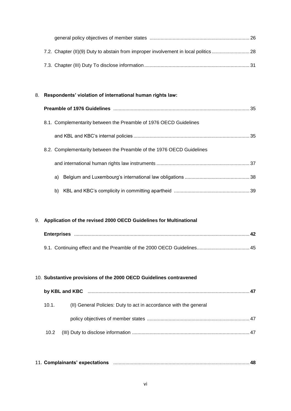# 8. **Respondents' violation of international human rights law: Preamble of 1976 Guidelines** ..................................................................................................... 35 8.1. Complementarity between the Preamble of 1976 OECD Guidelines and KBL and KBC"s internal policies ...................................................................................... 35 8.2. Complementarity between the Preamble of the 1976 OECD Guidelines and international human rights law instruments ..................................................................... 37 a) Belgium and Luxembourg"s international law obligations ................................................ 38 b) KBL and KBC"s complicity in committing apartheid ........................................................ 39

#### 9. **Application of the revised 2000 OECD Guidelines for Multinational**

#### 10. **Substantive provisions of the 2000 OECD Guidelines contravened**

| by KBL and KBC manufacture and manufacture and the state of the state of the state of the state of the state o |                                                                   |  |
|----------------------------------------------------------------------------------------------------------------|-------------------------------------------------------------------|--|
| 10.1.                                                                                                          | (II) General Policies: Duty to act in accordance with the general |  |
|                                                                                                                |                                                                   |  |
| 10.2                                                                                                           |                                                                   |  |

|  | 11. Complainants' expectations |  |  |  |
|--|--------------------------------|--|--|--|
|--|--------------------------------|--|--|--|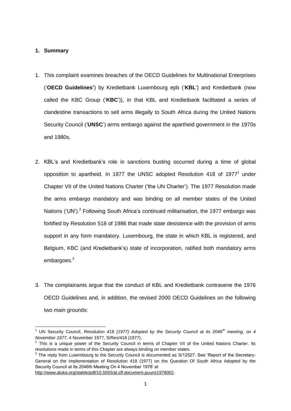### **1. Summary**

 $\overline{a}$ 

- 1. This complaint examines breaches of the OECD Guidelines for Multinational Enterprises ("**OECD Guidelines'**) by Kredietbank Luxembourg epb ("**KBL**") and Kredietbank (now called the KBC Group ("**KBC**")), in that KBL and Kredietbank facilitated a series of clandestine transactions to sell arms illegally to South Africa during the United Nations Security Council ("**UNSC**") arms embargo against the apartheid government in the 1970s and 1980s.
- 2. KBL"s and Kredietbank"s role in sanctions busting occurred during a time of global opposition to apartheid. In 1977 the UNSC adopted Resolution 418 of 1977<sup>1</sup> under Chapter VII of the United Nations Charter ("the UN Charter"). The 1977 Resolution made the arms embargo mandatory and was binding on all member states of the United Nations ('UN').<sup>2</sup> Following South Africa's continued militarisation, the 1977 embargo was fortified by Resolution 518 of 1986 that made state desistence with the provision of arms support in any form mandatory. Luxembourg, the state in which KBL is registered, and Belgium, KBC (and Kredietbank"s) state of incorporation, ratified both mandatory arms embargoes.<sup>3</sup>
- 3. The complainants argue that the conduct of KBL and Kredietbank contravene the 1976 OECD Guidelines and, in addition, the revised 2000 OECD Guidelines on the following two main grounds:

<sup>1</sup> UN Security Council, *Resolution 418 (1977) Adopted by the Security Council at its 2046th meeting, on 4 November 1977,* 4 November 1977, S/Res/418 (1977).

 $2$  This is a unique power of the Security Council in terms of Chapter VII of the United Nations Charter. Its resolutions made in terms of this Chapter are always binding on member states.

 $3$  The reply from Luxembourg to the Security Council is documented as S/12527. See 'Report of the Secretary-General on the Implementation of Resolution 418 (1977) on the Question Of South Africa Adopted by the Security Council at Its 2046th Meeting On 4 November 1978" at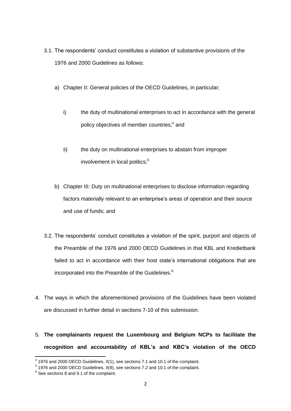- 3.1. The respondents" conduct constitutes a violation of substantive provisions of the 1976 and 2000 Guidelines as follows:
	- a) Chapter II: General policies of the OECD Guidelines, in particular;
		- i) the duty of multinational enterprises to act in accordance with the general policy objectives of member countries;<sup>4</sup> and
		- ii) the duty on multinational enterprises to abstain from improper involvement in local politics;<sup>5</sup>
	- b) Chapter III: Duty on multinational enterprises to disclose information regarding factors materially relevant to an enterprise's areas of operation and their source and use of funds; and
- 3.2. The respondents" conduct constitutes a violation of the spirit, purport and objects of the Preamble of the 1976 and 2000 OECD Guidelines in that KBL and Kredietbank failed to act in accordance with their host state's international obligations that are incorporated into the Preamble of the Guidelines.<sup>6</sup>
- 4. The ways in which the aforementioned provisions of the Guidelines have been violated are discussed in further detail in sections 7-10 of this submission.

# 5. **The complainants request the Luxembourg and Belgium NCPs to facilitate the recognition and accountability of KBL's and KBC's violation of the OECD**

 4 1976 and 2000 OECD Guidelines, II(1), see sections 7.1 and 10.1 of the complaint.

 $<sup>5</sup>$  1976 and 2000 OECD Guidelines, II(9), see sections 7.2 and 10.1 of the complaint.</sup>

 $6$  See sections 8 and 9.1 of the complaint.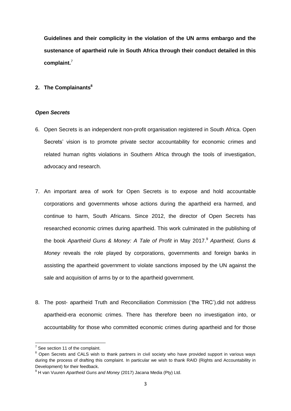**Guidelines and their complicity in the violation of the UN arms embargo and the sustenance of apartheid rule in South Africa through their conduct detailed in this complaint.**<sup>7</sup>

### **2. The Complainants<sup>8</sup>**

#### *Open Secrets*

- 6. Open Secrets is an independent non-profit organisation registered in South Africa. Open Secrets' vision is to promote private sector accountability for economic crimes and related human rights violations in Southern Africa through the tools of investigation, advocacy and research.
- 7. An important area of work for Open Secrets is to expose and hold accountable corporations and governments whose actions during the apartheid era harmed, and continue to harm, South Africans. Since 2012, the director of Open Secrets has researched economic crimes during apartheid. This work culminated in the publishing of the book *Apartheid Guns & Money: A Tale of Profit* in May 2017.<sup>9</sup> *Apartheid, Guns & Money* reveals the role played by corporations, governments and foreign banks in assisting the apartheid government to violate sanctions imposed by the UN against the sale and acquisition of arms by or to the apartheid government.
- 8. The post- apartheid Truth and Reconciliation Commission ("the TRC").did not address apartheid-era economic crimes. There has therefore been no investigation into, or accountability for those who committed economic crimes during apartheid and for those

**T**<br><sup>7</sup> See section 11 of the complaint.

<sup>&</sup>lt;sup>8</sup> Open Secrets and CALS wish to thank partners in civil society who have provided support in various ways during the process of drafting this complaint. In particular we wish to thank RAID (Rights and Accountability in Development) for their feedback.

<sup>9</sup> H van Vuuren *Apartheid Guns and Money* (2017) Jacana Media (Pty) Ltd.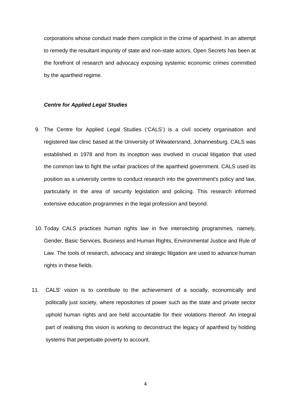corporations whose conduct made them complicit in the crime of apartheid. In an attempt to remedy the resultant impunity of state and non-state actors, Open Secrets has been at the forefront of research and advocacy exposing systemic economic crimes committed by the apartheid regime.

#### *Centre for Applied Legal Studies*

- 9. The Centre for Applied Legal Studies ("CALS") is a civil society organisation and registered law clinic based at the University of Witwatersrand, Johannesburg. CALS was established in 1978 and from its inception was involved in crucial litigation that used the common law to fight the unfair practices of the apartheid government. CALS used its position as a university centre to conduct research into the government's policy and law, particularly in the area of security legislation and policing. This research informed extensive education programmes in the legal profession and beyond.
- 10. Today CALS practices human rights law in five intersecting programmes, namely, Gender, Basic Services, Business and Human Rights, Environmental Justice and Rule of Law. The tools of research, advocacy and strategic litigation are used to advance human rights in these fields.
- 11. CALS" vision is to contribute to the achievement of a socially, economically and politically just society, where repositories of power such as the state and private sector uphold human rights and are held accountable for their violations thereof. An integral part of realising this vision is working to deconstruct the legacy of apartheid by holding systems that perpetuate poverty to account.

4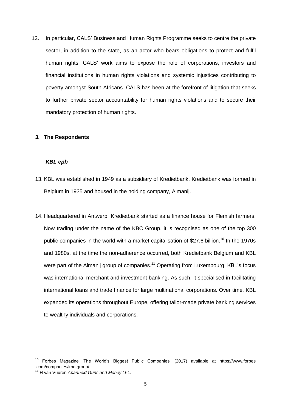12. In particular, CALS" Business and Human Rights Programme seeks to centre the private sector, in addition to the state, as an actor who bears obligations to protect and fulfil human rights. CALS" work aims to expose the role of corporations, investors and financial institutions in human rights violations and systemic injustices contributing to poverty amongst South Africans. CALS has been at the forefront of litigation that seeks to further private sector accountability for human rights violations and to secure their mandatory protection of human rights.

#### **3. The Respondents**

#### *KBL epb*

- 13. KBL was established in 1949 as a subsidiary of Kredietbank. Kredietbank was formed in Belgium in 1935 and housed in the holding company, Almanij.
- 14. Headquartered in Antwerp, Kredietbank started as a finance house for Flemish farmers. Now trading under the name of the KBC Group, it is recognised as one of the top 300 public companies in the world with a market capitalisation of \$27.6 billion.<sup>10</sup> In the 1970s and 1980s, at the time the non-adherence occurred, both Kredietbank Belgium and KBL were part of the Almanij group of companies.<sup>11</sup> Operating from Luxembourg, KBL's focus was international merchant and investment banking. As such, it specialised in facilitating international loans and trade finance for large multinational corporations. Over time, KBL expanded its operations throughout Europe, offering tailor-made private banking services to wealthy individuals and corporations.

<sup>&</sup>lt;sup>10</sup> Forbes Magazine 'The World's Biggest Public Companies' (2017) available at [https://www.forbes](https://www.forbes/) .com/companies/kbc-group/.

<sup>11</sup> H van Vuuren *Apartheid Guns and Money* 161.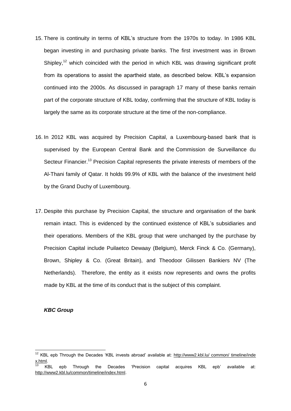- 15. There is continuity in terms of KBL"s structure from the 1970s to today. In 1986 KBL began investing in and purchasing private banks. The first investment was in Brown Shipley,<sup>12</sup> which coincided with the period in which KBL was drawing significant profit from its operations to assist the apartheid state, as described below. KBL"s expansion continued into the 2000s. As discussed in paragraph 17 many of these banks remain part of the corporate structure of KBL today, confirming that the structure of KBL today is largely the same as its corporate structure at the time of the non-compliance.
- 16. In 2012 KBL was acquired by Precision Capital, a Luxembourg-based bank that is supervised by the European Central Bank and the Commission de Surveillance du Secteur Financier.<sup>13</sup> Precision Capital represents the private interests of members of the Al-Thani family of Qatar. It holds 99.9% of KBL with the balance of the investment held by the Grand Duchy of Luxembourg.
- 17. Despite this purchase by Precision Capital, the structure and organisation of the bank remain intact. This is evidenced by the continued existence of KBL"s subsidiaries and their operations. Members of the KBL group that were unchanged by the purchase by Precision Capital include Puilaetco Dewaay (Belgium), Merck Finck & Co. (Germany), Brown, Shipley & Co. (Great Britain), and Theodoor Gilissen Bankiers NV (The Netherlands). Therefore, the entity as it exists now represents and owns the profits made by KBL at the time of its conduct that is the subject of this complaint.

#### *KBC Group*

 $\overline{a}$ 

 $12$  KBL epb Through the Decades 'KBL invests abroad' available at: http://www2.kbl.lu/ common/ timeline/inde [x.html.](http://www2.kbl.lu/%20common/%20timeline/inde%20x.html)

<sup>13</sup> KBL epb Through the Decades "Precision capital acquires KBL epb" available at: [http://www2.kbl.lu/common/timeline/index.html.](http://www2.kbl.lu/common/timeline/index.html)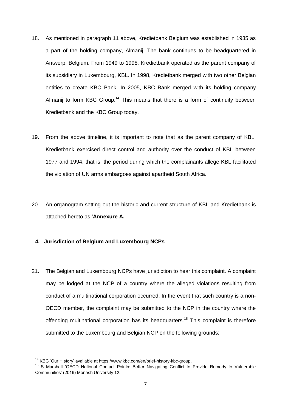- 18. As mentioned in paragraph 11 above, Kredietbank Belgium was established in 1935 as a part of the holding company, Almanij. The bank continues to be headquartered in Antwerp, Belgium. From 1949 to 1998, Kredietbank operated as the parent company of its subsidiary in Luxembourg, KBL. In 1998, Kredietbank merged with two other Belgian entities to create KBC Bank. In 2005, KBC Bank merged with its holding company Almanij to form KBC Group.<sup>14</sup> This means that there is a form of continuity between Kredietbank and the KBC Group today.
- 19. From the above timeline, it is important to note that as the parent company of KBL, Kredietbank exercised direct control and authority over the conduct of KBL between 1977 and 1994, that is, the period during which the complainants allege KBL facilitated the violation of UN arms embargoes against apartheid South Africa.
- 20. An organogram setting out the historic and current structure of KBL and Kredietbank is attached hereto as "**Annexure A.**

### **4. Jurisdiction of Belgium and Luxembourg NCPs**

21. The Belgian and Luxembourg NCPs have jurisdiction to hear this complaint. A complaint may be lodged at the NCP of a country where the alleged violations resulting from conduct of a multinational corporation occurred. In the event that such country is a non-OECD member, the complaint may be submitted to the NCP in the country where the offending multinational corporation has its headquarters.<sup>15</sup> This complaint is therefore submitted to the Luxembourg and Belgian NCP on the following grounds:

<sup>&</sup>lt;sup>14</sup> KBC 'Our History' available at [https://www.kbc.com/en/brief-history-kbc-group.](https://www.kbc.com/en/brief-history-kbc-group)

<sup>15</sup> S Marshall "OECD National Contact Points: Better Navigating Conflict to Provide Remedy to Vulnerable Communities" (2016) Monash University 12.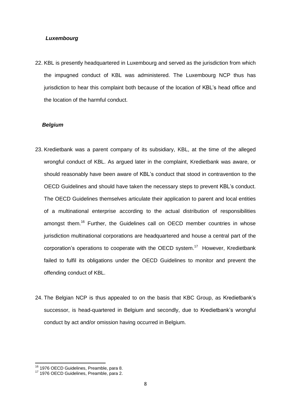#### *Luxembourg*

22. KBL is presently headquartered in Luxembourg and served as the jurisdiction from which the impugned conduct of KBL was administered. The Luxembourg NCP thus has jurisdiction to hear this complaint both because of the location of KBL"s head office and the location of the harmful conduct.

#### *Belgium*

- 23. Kredietbank was a parent company of its subsidiary, KBL, at the time of the alleged wrongful conduct of KBL. As argued later in the complaint, Kredietbank was aware, or should reasonably have been aware of KBL"s conduct that stood in contravention to the OECD Guidelines and should have taken the necessary steps to prevent KBL"s conduct. The OECD Guidelines themselves articulate their application to parent and local entities of a multinational enterprise according to the actual distribution of responsibilities amongst them.<sup>16</sup> Further, the Guidelines call on OECD member countries in whose jurisdiction multinational corporations are headquartered and house a central part of the corporation's operations to cooperate with the OECD system.<sup>17</sup> However, Kredietbank failed to fulfil its obligations under the OECD Guidelines to monitor and prevent the offending conduct of KBL.
- 24. The Belgian NCP is thus appealed to on the basis that KBC Group, as Kredietbank"s successor, is head-quartered in Belgium and secondly, due to Kredietbank's wrongful conduct by act and/or omission having occurred in Belgium.

<sup>&</sup>lt;sup>16</sup> 1976 OECD Guidelines, Preamble, para 8.

<sup>&</sup>lt;sup>17</sup> 1976 OECD Guidelines, Preamble, para 2.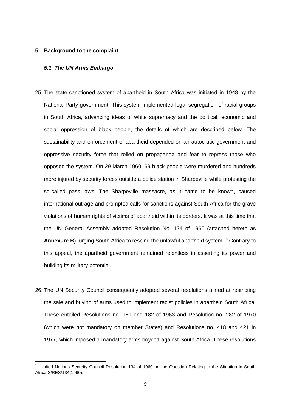#### **5. Background to the complaint**

### *5.1. The UN Arms Embargo*

- 25. The state-sanctioned system of apartheid in South Africa was initiated in 1948 by the National Party government. This system implemented legal segregation of racial groups in South Africa, advancing ideas of white supremacy and the political, economic and social oppression of black people, the details of which are described below. The sustainability and enforcement of apartheid depended on an autocratic government and oppressive security force that relied on propaganda and fear to repress those who opposed the system. On 29 March 1960, 69 black people were murdered and hundreds more injured by security forces outside a police station in Sharpeville while protesting the so-called pass laws. The Sharpeville massacre, as it came to be known, caused international outrage and prompted calls for sanctions against South Africa for the grave violations of human rights of victims of apartheid within its borders. It was at this time that the UN General Assembly adopted Resolution No. 134 of 1960 (attached hereto as Annexure B), urging South Africa to rescind the unlawful apartheid system.<sup>18</sup> Contrary to this appeal, the apartheid government remained relentless in asserting its power and building its military potential.
- 26. The UN Security Council consequently adopted several resolutions aimed at restricting the sale and buying of arms used to implement racist policies in apartheid South Africa. These entailed Resolutions no. 181 and 182 of 1963 and Resolution no. 282 of 1970 (which were not mandatory on member States) and Resolutions no. 418 and 421 in 1977, which imposed a mandatory arms boycott against South Africa. These resolutions

<sup>&</sup>lt;sup>18</sup> United Nations Security Council Resolution 134 of 1960 on the Question Relating to the Situation in South Africa S/RES/134(1960).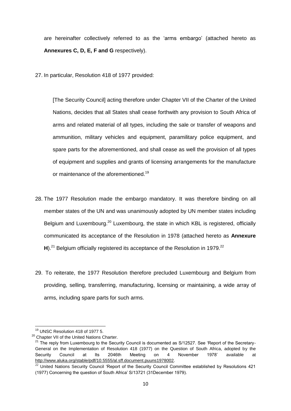are hereinafter collectively referred to as the "arms embargo" (attached hereto as **Annexures C, D, E, F and G** respectively).

27. In particular, Resolution 418 of 1977 provided:

[The Security Council] acting therefore under Chapter VII of the Charter of the United Nations, decides that all States shall cease forthwith any provision to South Africa of arms and related material of all types, including the sale or transfer of weapons and ammunition, military vehicles and equipment, paramilitary police equipment, and spare parts for the aforementioned, and shall cease as well the provision of all types of equipment and supplies and grants of licensing arrangements for the manufacture or maintenance of the aforementioned.<sup>19</sup>

- 28. The 1977 Resolution made the embargo mandatory. It was therefore binding on all member states of the UN and was unanimously adopted by UN member states including Belgium and Luxembourg.<sup>20</sup> Luxembourg, the state in which KBL is registered, officially communicated its acceptance of the Resolution in 1978 (attached hereto as **Annexure** H).<sup>21</sup> Belgium officially registered its acceptance of the Resolution in 1979.<sup>22</sup>
- 29. To reiterate, the 1977 Resolution therefore precluded Luxembourg and Belgium from providing, selling, transferring, manufacturing, licensing or maintaining, a wide array of arms, including spare parts for such arms.

 $\overline{a}$ <sup>19</sup> UNSC Resolution 418 of 1977 5.

<sup>&</sup>lt;sup>20</sup> Chapter VII of the United Nations Charter.

<sup>&</sup>lt;sup>21</sup> The reply from Luxembourg to the Security Council is documented as S/12527. See 'Report of the Secretary-General on the Implementation of Resolution 418 (1977) on the Question of South Africa, adopted by the Security Council at Its 2046th Meeting on 4 November 1978" available at [http://www.aluka.org/stable/pdf/10.5555/al.sff.document.puuns1978002.](http://www.aluka.org/stable/pdf/10.5555/al.sff.document.puuns1978002)

 $22$  United Nations Security Council 'Report of the Security Council Committee established by Resolutions 421 (1977) Concerning the question of South Africa" S/13721 (31December 1979).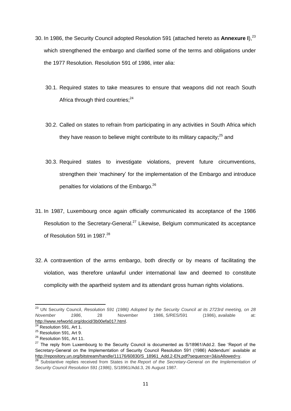- 30. In 1986, the Security Council adopted Resolution 591 (attached hereto as **Annexure I**),<sup>23</sup> which strengthened the embargo and clarified some of the terms and obligations under the 1977 Resolution. Resolution 591 of 1986, inter alia:
	- 30.1. Required states to take measures to ensure that weapons did not reach South Africa through third countries;<sup>24</sup>
	- 30.2. Called on states to refrain from participating in any activities in South Africa which they have reason to believe might contribute to its military capacity; $^{25}$  and
	- 30.3. Required states to investigate violations, prevent future circumventions, strengthen their "machinery" for the implementation of the Embargo and introduce penalties for violations of the Embargo.<sup>26</sup>
- 31. In 1987, Luxembourg once again officially communicated its acceptance of the 1986 Resolution to the Secretary-General.<sup>27</sup> Likewise, Belgium communicated its acceptance of Resolution 591 in 1987.<sup>28</sup>
- 32. A contravention of the arms embargo, both directly or by means of facilitating the violation, was therefore unlawful under international law and deemed to constitute complicity with the apartheid system and its attendant gross human rights violations.

 $\overline{a}$ <sup>23</sup> UN Security Council, *Resolution 591 (1986) Adopted by the Security Council at its 2723rd meeting, on 28 November 1986*, 28 November 1986, S/RES/591 (1986), available at: [http://www.refworld.org/docid/3b00efa017.html.](http://www.refworld.org/docid/3b00efa017.html)

<sup>&</sup>lt;sup>24</sup> Resolution 591, Art 1.

<sup>&</sup>lt;sup>25</sup> Resolution 591, Art 9.

<sup>&</sup>lt;sup>26</sup> Resolution 591, Art 11.

<sup>&</sup>lt;sup>27</sup> The reply from Luxembourg to the Security Council is documented as S/18961/Add.2. See 'Report of the Secretary-General on the Implementation of Security Council Resolution 591 (1986) Addendum" available at [http://repository.un.org/bitstream/handle/11176/60830/S\\_18961\\_Add.2-EN.pdf?sequence=3&isAllowed=y.](http://repository.un.org/bitstream/handle/11176/60830/S_18961_Add.2-EN.pdf?sequence=3&isAllowed=y)

<sup>&</sup>lt;sup>28</sup> Substantive replies received from States in the *Report of the Secretary-General on the Implementation of Security Council Resolution 591 (1986)*, S/18961/Add.3, 26 August 1987.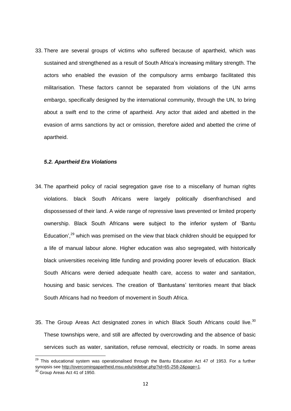33. There are several groups of victims who suffered because of apartheid, which was sustained and strengthened as a result of South Africa"s increasing military strength. The actors who enabled the evasion of the compulsory arms embargo facilitated this militarisation. These factors cannot be separated from violations of the UN arms embargo, specifically designed by the international community, through the UN, to bring about a swift end to the crime of apartheid. Any actor that aided and abetted in the evasion of arms sanctions by act or omission, therefore aided and abetted the crime of apartheid.

#### *5.2. Apartheid Era Violations*

- 34. The apartheid policy of racial segregation gave rise to a miscellany of human rights violations. black South Africans were largely politically disenfranchised and dispossessed of their land. A wide range of repressive laws prevented or limited property ownership. Black South Africans were subject to the inferior system of "Bantu Education',<sup>29</sup> which was premised on the view that black children should be equipped for a life of manual labour alone. Higher education was also segregated, with historically black universities receiving little funding and providing poorer levels of education. Black South Africans were denied adequate health care, access to water and sanitation, housing and basic services. The creation of "Bantustans" territories meant that black South Africans had no freedom of movement in South Africa.
- 35. The Group Areas Act designated zones in which Black South Africans could live.<sup>30</sup> These townships were, and still are affected by overcrowding and the absence of basic services such as water, sanitation, refuse removal, electricity or roads. In some areas

 $^{29}$  This educational system was operationalised through the Bantu Education Act 47 of 1953. For a further synopsis se[e http://overcomingapartheid.msu.edu/sidebar.php?id=65-258-2&page=1.](http://overcomingapartheid.msu.edu/sidebar.php?id=65-258-2&page=1)

 $30$  Group Areas Act 41 of 1950.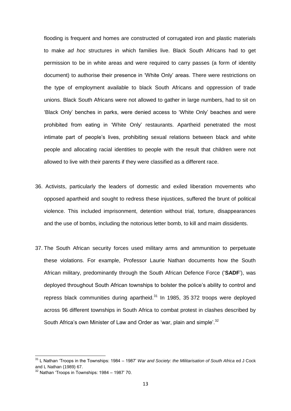flooding is frequent and homes are constructed of corrugated iron and plastic materials to make *ad hoc* structures in which families live. Black South Africans had to get permission to be in white areas and were required to carry passes (a form of identity document) to authorise their presence in "White Only" areas. There were restrictions on the type of employment available to black South Africans and oppression of trade unions. Black South Africans were not allowed to gather in large numbers, had to sit on 'Black Only' benches in parks, were denied access to 'White Only' beaches and were prohibited from eating in "White Only" restaurants. Apartheid penetrated the most intimate part of people"s lives, prohibiting sexual relations between black and white people and allocating racial identities to people with the result that children were not allowed to live with their parents if they were classified as a different race.

- 36. Activists, particularly the leaders of domestic and exiled liberation movements who opposed apartheid and sought to redress these injustices, suffered the brunt of political violence. This included imprisonment, detention without trial, torture, disappearances and the use of bombs, including the notorious letter bomb, to kill and maim dissidents.
- 37. The South African security forces used military arms and ammunition to perpetuate these violations. For example, Professor Laurie Nathan documents how the South African military, predominantly through the South African Defence Force ("**SADF**"), was deployed throughout South African townships to bolster the police"s ability to control and repress black communities during apartheid. $31$  In 1985, 35 372 troops were deployed across 96 different townships in South Africa to combat protest in clashes described by South Africa's own Minister of Law and Order as 'war, plain and simple'.<sup>32</sup>

<sup>31</sup> L Nathan "Troops in the Townships: 1984 – 1987" *War and Society: the Militarisation of South Africa* ed J Cock and L Nathan (1989) 67.

 $32$  Nathan 'Troops in Townships: 1984 – 1987' 70.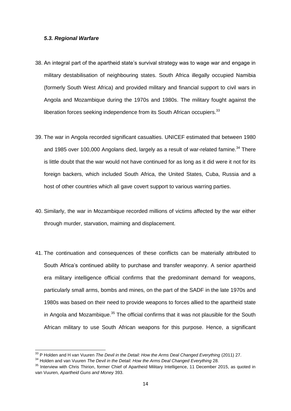#### *5.3. Regional Warfare*

- 38. An integral part of the apartheid state"s survival strategy was to wage war and engage in military destabilisation of neighbouring states. South Africa illegally occupied Namibia (formerly South West Africa) and provided military and financial support to civil wars in Angola and Mozambique during the 1970s and 1980s. The military fought against the liberation forces seeking independence from its South African occupiers.<sup>33</sup>
- 39. The war in Angola recorded significant casualties. UNICEF estimated that between 1980 and 1985 over 100,000 Angolans died, largely as a result of war-related famine.<sup>34</sup> There is little doubt that the war would not have continued for as long as it did were it not for its foreign backers, which included South Africa, the United States, Cuba, Russia and a host of other countries which all gave covert support to various warring parties.
- 40. Similarly, the war in Mozambique recorded millions of victims affected by the war either through murder, starvation, maiming and displacement.
- 41. The continuation and consequences of these conflicts can be materially attributed to South Africa's continued ability to purchase and transfer weaponry. A senior apartheid era military intelligence official confirms that the predominant demand for weapons, particularly small arms, bombs and mines, on the part of the SADF in the late 1970s and 1980s was based on their need to provide weapons to forces allied to the apartheid state in Angola and Mozambique.<sup>35</sup> The official confirms that it was not plausible for the South African military to use South African weapons for this purpose. Hence, a significant

<sup>33</sup> P Holden and H van Vuuren *The Devil in the Detail: How the Arms Deal Changed Everything* (2011) 27.

<sup>&</sup>lt;sup>34</sup> Holden and van Vuuren *The Devil in the Detail: How the Arms Deal Changed Everything* 28.

<sup>&</sup>lt;sup>35</sup> Interview with Chris Thirion, former Chief of Apartheid Military Intelligence, 11 December 2015, as quoted in van Vuuren, *Apartheid Guns and Money* 393.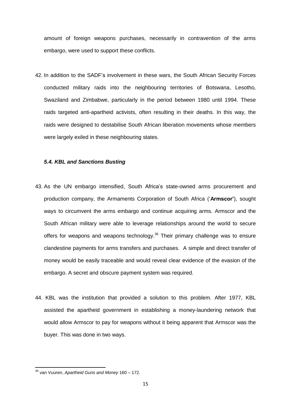amount of foreign weapons purchases, necessarily in contravention of the arms embargo, were used to support these conflicts.

42. In addition to the SADF"s involvement in these wars, the South African Security Forces conducted military raids into the neighbouring territories of Botswana, Lesotho, Swaziland and Zimbabwe, particularly in the period between 1980 until 1994. These raids targeted anti-apartheid activists, often resulting in their deaths. In this way, the raids were designed to destabilise South African liberation movements whose members were largely exiled in these neighbouring states.

#### *5.4. KBL and Sanctions Busting*

- 43. As the UN embargo intensified, South Africa"s state-owned arms procurement and production company, the Armaments Corporation of South Africa ("**Armscor'**), sought ways to circumvent the arms embargo and continue acquiring arms. Armscor and the South African military were able to leverage relationships around the world to secure offers for weapons and weapons technology.<sup>36</sup> Their primary challenge was to ensure clandestine payments for arms transfers and purchases. A simple and direct transfer of money would be easily traceable and would reveal clear evidence of the evasion of the embargo. A secret and obscure payment system was required.
- 44. KBL was the institution that provided a solution to this problem. After 1977, KBL assisted the apartheid government in establishing a money-laundering network that would allow Armscor to pay for weapons without it being apparent that Armscor was the buyer. This was done in two ways.

<sup>36</sup> van Vuuren, *Apartheid Guns and Money* 160 – 172.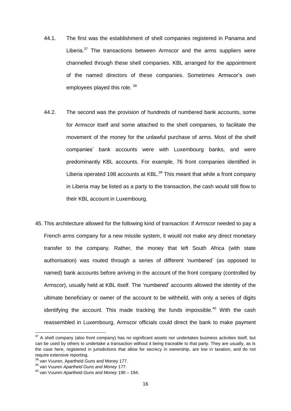- 44.1. The first was the establishment of shell companies registered in Panama and Liberia.<sup>37</sup> The transactions between Armscor and the arms suppliers were channelled through these shell companies. KBL arranged for the appointment of the named directors of these companies. Sometimes Armscor"s own employees played this role. <sup>38</sup>
- 44.2. The second was the provision of hundreds of numbered bank accounts, some for Armscor itself and some attached to the shell companies, to facilitate the movement of the money for the unlawful purchase of arms. Most of the shelf companies" bank accounts were with Luxembourg banks, and were predominantly KBL accounts. For example, 76 front companies identified in Liberia operated 198 accounts at  $KBL$ <sup>39</sup> This meant that while a front company in Liberia may be listed as a party to the transaction, the cash would still flow to their KBL account in Luxembourg.
- 45. This architecture allowed for the following kind of transaction: if Armscor needed to pay a French arms company for a new missile system, it would not make any direct monetary transfer to the company. Rather, the money that left South Africa (with state authorisation) was routed through a series of different "numbered" (as opposed to named) bank accounts before arriving in the account of the front company (controlled by Armscor), usually held at KBL itself. The "numbered" accounts allowed the identity of the ultimate beneficiary or owner of the account to be withheld, with only a series of digits identifying the account. This made tracking the funds impossible.<sup>40</sup> With the cash reassembled in Luxembourg, Armscor officials could direct the bank to make payment

 $37$  A shell company (also front company) has no significant assets nor undertakes business activities itself, but can be used by others to undertake a transaction without it being traceable to that party. They are usually, as is the case here, registered in jurisdictions that allow for secrecy in ownership, are low in taxation, and do not require extensive reporting.

<sup>&</sup>lt;sup>38</sup> van Vuuren, Apartheid Guns and Money 177.

<sup>39</sup> van Vuuren *Apartheid Guns and Money* 177.

<sup>40</sup> van Vuuren *Apartheid Guns and Money* 190 – 194.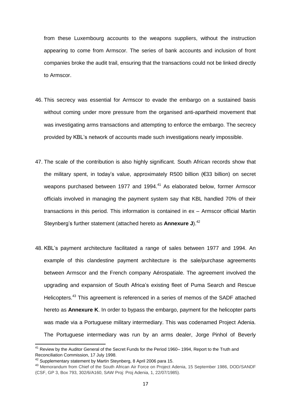from these Luxembourg accounts to the weapons suppliers, without the instruction appearing to come from Armscor. The series of bank accounts and inclusion of front companies broke the audit trail, ensuring that the transactions could not be linked directly to Armscor.

- 46. This secrecy was essential for Armscor to evade the embargo on a sustained basis without coming under more pressure from the organised anti-apartheid movement that was investigating arms transactions and attempting to enforce the embargo. The secrecy provided by KBL"s network of accounts made such investigations nearly impossible.
- 47. The scale of the contribution is also highly significant. South African records show that the military spent, in today"s value, approximately R500 billion (€33 billion) on secret weapons purchased between 1977 and 1994.<sup>41</sup> As elaborated below, former Armscor officials involved in managing the payment system say that KBL handled 70% of their transactions in this period. This information is contained in ex – Armscor official Martin Steynberg"s further statement (attached hereto as **Annexure J**).<sup>42</sup>
- 48. KBL"s payment architecture facilitated a range of sales between 1977 and 1994. An example of this clandestine payment architecture is the sale/purchase agreements between Armscor and the French company Aérospatiale. The agreement involved the upgrading and expansion of South Africa"s existing fleet of Puma Search and Rescue Helicopters.<sup>43</sup> This agreement is referenced in a series of memos of the SADF attached hereto as **Annexure K**. In order to bypass the embargo, payment for the helicopter parts was made via a Portuguese military intermediary. This was codenamed Project Adenia. The Portuguese intermediary was run by an arms dealer, Jorge Pinhol of Beverly

<sup>&</sup>lt;sup>41</sup> Review by the Auditor General of the Secret Funds for the Period 1960– 1994, Report to the Truth and Reconciliation Commission, 17 July 1998.

<sup>42</sup> Supplementary statement by Martin Steynberg, 8 April 2006 para 15.

<sup>43</sup> Memorandum from Chief of the South African Air Force on Project Adenia, 15 September 1986, DOD/SANDF (CSF, GP 3, Box 793, 302/6/A160, SAW Proj: Proj Adenia, 1, 22/07/1985).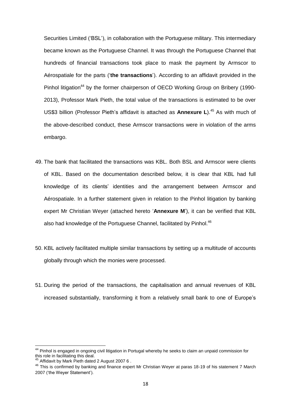Securities Limited ("BSL"), in collaboration with the Portuguese military. This intermediary became known as the Portuguese Channel. It was through the Portuguese Channel that hundreds of financial transactions took place to mask the payment by Armscor to Aérospatiale for the parts ("**the transactions**"). According to an affidavit provided in the Pinhol litigation<sup>44</sup> by the former chairperson of OECD Working Group on Bribery (1990-2013), Professor Mark Pieth, the total value of the transactions is estimated to be over US\$3 billion (Professor Pieth"s affidavit is attached as **Annexure L**). <sup>45</sup> As with much of the above-described conduct, these Armscor transactions were in violation of the arms embargo.

- 49. The bank that facilitated the transactions was KBL. Both BSL and Armscor were clients of KBL. Based on the documentation described below, it is clear that KBL had full knowledge of its clients" identities and the arrangement between Armscor and Aérospatiale. In a further statement given in relation to the Pinhol litigation by banking expert Mr Christian Weyer (attached hereto "**Annexure M**"), it can be verified that KBL also had knowledge of the Portuguese Channel, facilitated by Pinhol.<sup>46</sup>
- 50. KBL actively facilitated multiple similar transactions by setting up a multitude of accounts globally through which the monies were processed.
- 51. During the period of the transactions, the capitalisation and annual revenues of KBL increased substantially, transforming it from a relatively small bank to one of Europe"s

<sup>&</sup>lt;sup>44</sup> Pinhol is engaged in ongoing civil litigation in Portugal whereby he seeks to claim an unpaid commission for this role in facilitating this deal.

<sup>&</sup>lt;sup>45</sup> Affidavit by Mark Pieth dated 2 August 2007 6.

<sup>46</sup> This is confirmed by banking and finance expert Mr Christian Weyer at paras 18-19 of his statement 7 March 2007 ("the Weyer Statement").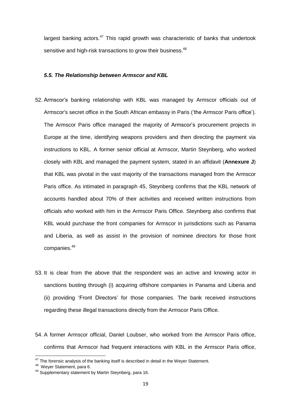largest banking actors. $47$  This rapid growth was characteristic of banks that undertook sensitive and high-risk transactions to grow their business.<sup>48</sup>

#### *5.5. The Relationship between Armscor and KBL*

- 52. Armscor"s banking relationship with KBL was managed by Armscor officials out of Armscor's secret office in the South African embassy in Paris ("the Armscor Paris office"). The Armscor Paris office managed the majority of Armscor"s procurement projects in Europe at the time, identifying weapons providers and then directing the payment via instructions to KBL. A former senior official at Armscor, Martin Steynberg, who worked closely with KBL and managed the payment system, stated in an affidavit (**Annexure J**) that KBL was pivotal in the vast majority of the transactions managed from the Armscor Paris office. As intimated in paragraph 45, Steynberg confirms that the KBL network of accounts handled about 70% of their activities and received written instructions from officials who worked with him in the Armscor Paris Office. Steynberg also confirms that KBL would purchase the front companies for Armscor in jurisdictions such as Panama and Liberia, as well as assist in the provision of nominee directors for those front companies.<sup>49</sup>
- 53. It is clear from the above that the respondent was an active and knowing actor in sanctions busting through (i) acquiring offshore companies in Panama and Liberia and (ii) providing "Front Directors" for those companies. The bank received instructions regarding these illegal transactions directly from the Armscor Paris Office.
- 54. A former Armscor official, Daniel Loubser, who worked from the Armscor Paris office, confirms that Armscor had frequent interactions with KBL in the Armscor Paris office,

 $47$  The forensic analysis of the banking itself is described in detail in the Weyer Statement.

<sup>48</sup> Weyer Statement, para 6.

<sup>49</sup> Supplementary statement by Martin Steynberg, para 16.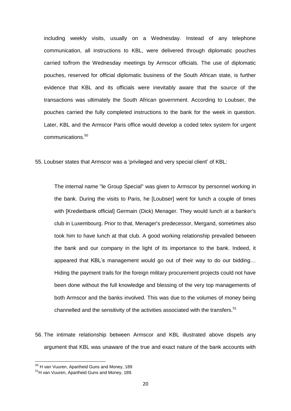including weekly visits, usually on a Wednesday. Instead of any telephone communication, all instructions to KBL, were delivered through diplomatic pouches carried to/from the Wednesday meetings by Armscor officials. The use of diplomatic pouches, reserved for official diplomatic business of the South African state, is further evidence that KBL and its officials were inevitably aware that the source of the transactions was ultimately the South African government. According to Loubser, the pouches carried the fully completed instructions to the bank for the week in question. Later, KBL and the Armscor Paris office would develop a coded telex system for urgent communications.<sup>50</sup>

55. Loubser states that Armscor was a "privileged and very special client" of KBL:

The internal name "le Group Special" was given to Armscor by personnel working in the bank. During the visits to Paris, he [Loubser] went for lunch a couple of times with [Kredietbank official] Germain (Dick) Menager. They would lunch at a banker's club in Luxembourg. Prior to that, Menager's predecessor, Mergand, sometimes also took him to have lunch at that club. A good working relationship prevailed between the bank and our company in the light of its importance to the bank. Indeed, it appeared that KBL's management would go out of their way to do our bidding... Hiding the payment trails for the foreign military procurement projects could not have been done without the full knowledge and blessing of the very top managements of both Armscor and the banks involved. This was due to the volumes of money being channelled and the sensitivity of the activities associated with the transfers. $51$ 

56. The intimate relationship between Armscor and KBL illustrated above dispels any argument that KBL was unaware of the true and exact nature of the bank accounts with

<sup>&</sup>lt;sup>50</sup> H van Vuuren, Apartheid Guns and Money, 189

<sup>&</sup>lt;sup>51</sup>H van Vuuren, Apartheid Guns and Money, 189.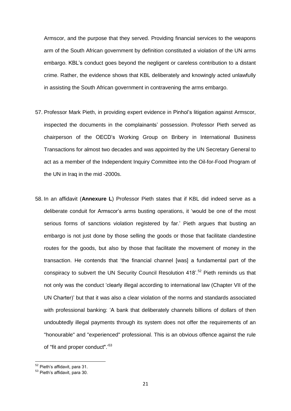Armscor, and the purpose that they served. Providing financial services to the weapons arm of the South African government by definition constituted a violation of the UN arms embargo. KBL"s conduct goes beyond the negligent or careless contribution to a distant crime. Rather, the evidence shows that KBL deliberately and knowingly acted unlawfully in assisting the South African government in contravening the arms embargo.

- 57. Professor Mark Pieth, in providing expert evidence in Pinhol"s litigation against Armscor, inspected the documents in the complainants" possession. Professor Pieth served as chairperson of the OECD"s Working Group on Bribery in International Business Transactions for almost two decades and was appointed by the UN Secretary General to act as a member of the Independent Inquiry Committee into the Oil-for-Food Program of the UN in Iraq in the mid -2000s.
- 58. In an affidavit (**Annexure L**) Professor Pieth states that if KBL did indeed serve as a deliberate conduit for Armscor"s arms busting operations, it "would be one of the most serious forms of sanctions violation registered by far." Pieth argues that busting an embargo is not just done by those selling the goods or those that facilitate clandestine routes for the goods, but also by those that facilitate the movement of money in the transaction. He contends that "the financial channel [was] a fundamental part of the conspiracy to subvert the UN Security Council Resolution 418'.<sup>52</sup> Pieth reminds us that not only was the conduct "clearly illegal according to international law (Chapter VII of the UN Charter)" but that it was also a clear violation of the norms and standards associated with professional banking: "A bank that deliberately channels billions of dollars of then undoubtedly illegal payments through its system does not offer the requirements of an "honourable" and "experienced" professional. This is an obvious offence against the rule of "fit and proper conduct".<sup>53</sup>

<sup>&</sup>lt;sup>52</sup> Pieth's affidavit, para 31.

<sup>53</sup> Pieth"s affidavit, para 30.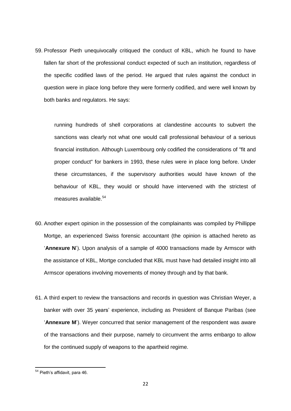59. Professor Pieth unequivocally critiqued the conduct of KBL, which he found to have fallen far short of the professional conduct expected of such an institution, regardless of the specific codified laws of the period. He argued that rules against the conduct in question were in place long before they were formerly codified, and were well known by both banks and regulators. He says:

running hundreds of shell corporations at clandestine accounts to subvert the sanctions was clearly not what one would call professional behaviour of a serious financial institution. Although Luxembourg only codified the considerations of "fit and proper conduct" for bankers in 1993, these rules were in place long before. Under these circumstances, if the supervisory authorities would have known of the behaviour of KBL, they would or should have intervened with the strictest of measures available.<sup>54</sup>

- 60. Another expert opinion in the possession of the complainants was compiled by Phillippe Mortge, an experienced Swiss forensic accountant (the opinion is attached hereto as "**Annexure N**"). Upon analysis of a sample of 4000 transactions made by Armscor with the assistance of KBL, Mortge concluded that KBL must have had detailed insight into all Armscor operations involving movements of money through and by that bank.
- 61. A third expert to review the transactions and records in question was Christian Weyer, a banker with over 35 years" experience, including as President of Banque Paribas (see "**Annexure M**"). Weyer concurred that senior management of the respondent was aware of the transactions and their purpose, namely to circumvent the arms embargo to allow for the continued supply of weapons to the apartheid regime.

**<sup>.</sup>** <sup>54</sup> Pieth's affidavit, para 46.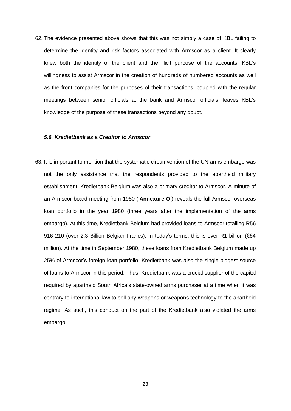62. The evidence presented above shows that this was not simply a case of KBL failing to determine the identity and risk factors associated with Armscor as a client. It clearly knew both the identity of the client and the illicit purpose of the accounts. KBL"s willingness to assist Armscor in the creation of hundreds of numbered accounts as well as the front companies for the purposes of their transactions, coupled with the regular meetings between senior officials at the bank and Armscor officials, leaves KBL"s knowledge of the purpose of these transactions beyond any doubt.

#### *5.6. Kredietbank as a Creditor to Armscor*

63. It is important to mention that the systematic circumvention of the UN arms embargo was not the only assistance that the respondents provided to the apartheid military establishment. Kredietbank Belgium was also a primary creditor to Armscor. A minute of an Armscor board meeting from 1980 ("**Annexure O**") reveals the full Armscor overseas loan portfolio in the year 1980 (three years after the implementation of the arms embargo). At this time, Kredietbank Belgium had provided loans to Armscor totalling R56 916 210 (over 2.3 Billion Belgian Francs). In today's terms, this is over R1 billion (€64 million). At the time in September 1980, these loans from Kredietbank Belgium made up 25% of Armscor"s foreign loan portfolio. Kredietbank was also the single biggest source of loans to Armscor in this period. Thus, Kredietbank was a crucial supplier of the capital required by apartheid South Africa"s state-owned arms purchaser at a time when it was contrary to international law to sell any weapons or weapons technology to the apartheid regime. As such, this conduct on the part of the Kredietbank also violated the arms embargo.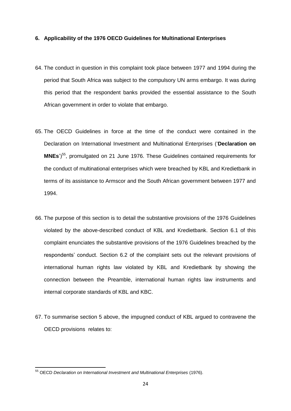#### **6. Applicability of the 1976 OECD Guidelines for Multinational Enterprises**

- 64. The conduct in question in this complaint took place between 1977 and 1994 during the period that South Africa was subject to the compulsory UN arms embargo. It was during this period that the respondent banks provided the essential assistance to the South African government in order to violate that embargo.
- 65. The OECD Guidelines in force at the time of the conduct were contained in the Declaration on International Investment and Multinational Enterprises ("**Declaration on** MNEs')<sup>55</sup>, promulgated on 21 June 1976. These Guidelines contained requirements for the conduct of multinational enterprises which were breached by KBL and Kredietbank in terms of its assistance to Armscor and the South African government between 1977 and 1994.
- 66. The purpose of this section is to detail the substantive provisions of the 1976 Guidelines violated by the above-described conduct of KBL and Kredietbank. Section 6.1 of this complaint enunciates the substantive provisions of the 1976 Guidelines breached by the respondents" conduct. Section 6.2 of the complaint sets out the relevant provisions of international human rights law violated by KBL and Kredietbank by showing the connection between the Preamble, international human rights law instruments and internal corporate standards of KBL and KBC.
- 67. To summarise section 5 above, the impugned conduct of KBL argued to contravene the OECD provisions relates to:

<sup>1</sup> <sup>55</sup> OECD *Declaration on International Investment and Multinational Enterprises* (1976).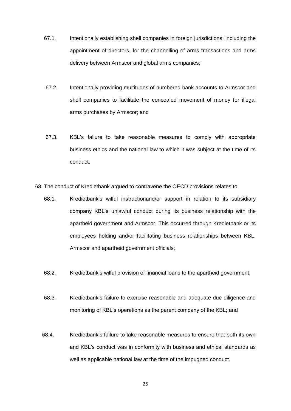- 67.1. Intentionally establishing shell companies in foreign jurisdictions, including the appointment of directors, for the channelling of arms transactions and arms delivery between Armscor and global arms companies;
- 67.2. Intentionally providing multitudes of numbered bank accounts to Armscor and shell companies to facilitate the concealed movement of money for illegal arms purchases by Armscor; and
- 67.3. KBL"s failure to take reasonable measures to comply with appropriate business ethics and the national law to which it was subject at the time of its conduct.

68. The conduct of Kredietbank argued to contravene the OECD provisions relates to:

- 68.1. Kredietbank"s wilful instructionand/or support in relation to its subsidiary company KBL"s unlawful conduct during its business relationship with the apartheid government and Armscor. This occurred through Kredietbank or its employees holding and/or facilitating business relationships between KBL, Armscor and apartheid government officials;
- 68.2. Kredietbank"s wilful provision of financial loans to the apartheid government;
- 68.3. Kredietbank"s failure to exercise reasonable and adequate due diligence and monitoring of KBL"s operations as the parent company of the KBL; and
- 68.4. Kredietbank"s failure to take reasonable measures to ensure that both its own and KBL's conduct was in conformity with business and ethical standards as well as applicable national law at the time of the impugned conduct.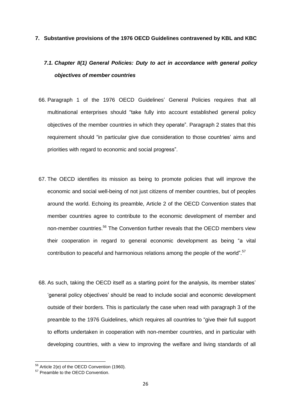#### **7. Substantive provisions of the 1976 OECD Guidelines contravened by KBL and KBC**

# *7.1. Chapter II(1) General Policies: Duty to act in accordance with general policy objectives of member countries*

- 66. Paragraph 1 of the 1976 OECD Guidelines" General Policies requires that all multinational enterprises should "take fully into account established general policy objectives of the member countries in which they operate". Paragraph 2 states that this requirement should "in particular give due consideration to those countries' aims and priorities with regard to economic and social progress".
- 67. The OECD identifies its mission as being to promote policies that will improve the economic and social well-being of not just citizens of member countries, but of peoples around the world. Echoing its preamble, Article 2 of the OECD Convention states that member countries agree to contribute to the economic development of member and non-member countries.<sup>56</sup> The Convention further reveals that the OECD members view their cooperation in regard to general economic development as being "a vital contribution to peaceful and harmonious relations among the people of the world".<sup>57</sup>
- 68. As such, taking the OECD itself as a starting point for the analysis, its member states" "general policy objectives" should be read to include social and economic development outside of their borders. This is particularly the case when read with paragraph 3 of the preamble to the 1976 Guidelines, which requires all countries to "give their full support to efforts undertaken in cooperation with non-member countries, and in particular with developing countries, with a view to improving the welfare and living standards of all

<sup>&</sup>lt;sup>56</sup> Article 2(e) of the OECD Convention (1960).

<sup>&</sup>lt;sup>57</sup> Preamble to the OECD Convention.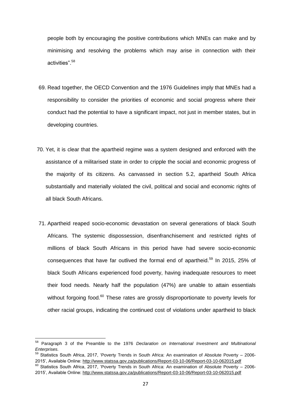people both by encouraging the positive contributions which MNEs can make and by minimising and resolving the problems which may arise in connection with their activities".<sup>58</sup>

- 69. Read together, the OECD Convention and the 1976 Guidelines imply that MNEs had a responsibility to consider the priorities of economic and social progress where their conduct had the potential to have a significant impact, not just in member states, but in developing countries.
- 70. Yet, it is clear that the apartheid regime was a system designed and enforced with the assistance of a militarised state in order to cripple the social and economic progress of the majority of its citizens. As canvassed in section 5.2, apartheid South Africa substantially and materially violated the civil, political and social and economic rights of all black South Africans.
- 71. Apartheid reaped socio-economic devastation on several generations of black South Africans. The systemic dispossession, disenfranchisement and restricted rights of millions of black South Africans in this period have had severe socio-economic consequences that have far outlived the formal end of apartheid.<sup>59</sup> In 2015, 25% of black South Africans experienced food poverty, having inadequate resources to meet their food needs. Nearly half the population (47%) are unable to attain essentials without forgoing food.<sup>60</sup> These rates are grossly disproportionate to poverty levels for other racial groups, indicating the continued cost of violations under apartheid to black

**.** 

2015", Available Online:<http://www.statssa.gov.za/publications/Report-03-10-06/Report-03-10-062015.pdf>

<sup>58</sup> Paragraph 3 of the Preamble to the 1976 *Declaration on International Investment and Multinational Enterprises.*

<sup>59</sup> Statistics South Africa, 2017, "Poverty Trends in South Africa: An examination of Absolute Poverty – 2006- 2015", Available Online:<http://www.statssa.gov.za/publications/Report-03-10-06/Report-03-10-062015.pdf>  $60$  Statistics South Africa, 2017, 'Poverty Trends in South Africa: An examination of Absolute Poverty – 2006-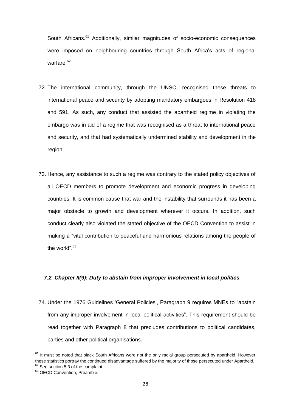South Africans.<sup>61</sup> Additionally, similar magnitudes of socio-economic consequences were imposed on neighbouring countries through South Africa's acts of regional warfare.<sup>62</sup>

- 72. The international community, through the UNSC, recognised these threats to international peace and security by adopting mandatory embargoes in Resolution 418 and 591. As such, any conduct that assisted the apartheid regime in violating the embargo was in aid of a regime that was recognised as a threat to international peace and security, and that had systematically undermined stability and development in the region.
- 73. Hence, any assistance to such a regime was contrary to the stated policy objectives of all OECD members to promote development and economic progress in developing countries. It is common cause that war and the instability that surrounds it has been a major obstacle to growth and development wherever it occurs. In addition, such conduct clearly also violated the stated objective of the OECD Convention to assist in making a "vital contribution to peaceful and harmonious relations among the people of the world".<sup>63</sup>

#### *7.2. Chapter II(9): Duty to abstain from improper involvement in local politics*

74. Under the 1976 Guidelines "General Policies", Paragraph 9 requires MNEs to "abstain from any improper involvement in local political activities". This requirement should be read together with Paragraph 8 that precludes contributions to political candidates, parties and other political organisations.

 $61$  It must be noted that black South Africans were not the only racial group persecuted by apartheid. However these statistics portray the continued disadvantage suffered by the majority of those persecuted under Apartheid.  $62$  See section 5.3 of the complaint.

<sup>&</sup>lt;sup>63</sup> OECD Convention, Preamble.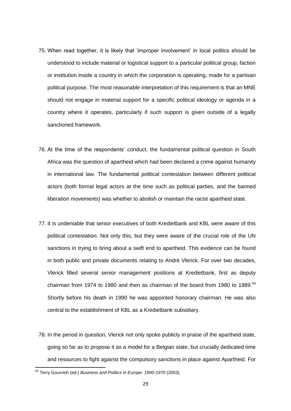- 75. When read together, it is likely that "improper involvement" in local politics should be understood to include material or logistical support to a particular political group, faction or institution inside a country in which the corporation is operating, made for a partisan political purpose. The most reasonable interpretation of this requirement is that an MNE should not engage in material support for a specific political ideology or agenda in a country where it operates, particularly if such support is given outside of a legally sanctioned framework.
- 76. At the time of the respondents" conduct, the fundamental political question in South Africa was the question of apartheid which had been declared a crime against humanity in international law. The fundamental political contestation between different political actors (both formal legal actors at the time such as political parties, and the banned liberation movements) was whether to abolish or maintain the racist apartheid state.
- 77. It is undeniable that senior executives of both Kredietbank and KBL were aware of this political contestation. Not only this, but they were aware of the crucial role of the UN sanctions in trying to bring about a swift end to apartheid. This evidence can be found in both public and private documents relating to André Vlerick. For over two decades, Vlerick filled several senior management positions at Kredietbank, first as deputy chairman from 1974 to 1980 and then as chairman of the board from 1980 to 1989. $64$ Shortly before his death in 1990 he was appointed honorary chairman. He was also central to the establishment of KBL as a Kredietbank subsidiary.
- 78. In the period in question, Vlerick not only spoke publicly in praise of the apartheid state, going so far as to propose it as a model for a Belgian state, but crucially dedicated time and resources to fight against the compulsory sanctions in place against Apartheid. For

<sup>64</sup> Terry Gourvish (ed.) *Business and Politics in Europe: 1900-1970* (2003).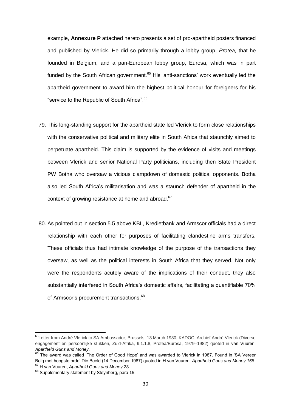example, **Annexure P** attached hereto presents a set of pro-apartheid posters financed and published by Vlerick. He did so primarily through a lobby group, *Protea,* that he founded in Belgium, and a pan-European lobby group, Eurosa, which was in part funded by the South African government.<sup>65</sup> His 'anti-sanctions' work eventually led the apartheid government to award him the highest political honour for foreigners for his "service to the Republic of South Africa".<sup>66</sup>

- 79. This long-standing support for the apartheid state led Vlerick to form close relationships with the conservative political and military elite in South Africa that staunchly aimed to perpetuate apartheid. This claim is supported by the evidence of visits and meetings between Vlerick and senior National Party politicians, including then State President PW Botha who oversaw a vicious clampdown of domestic political opponents. Botha also led South Africa"s militarisation and was a staunch defender of apartheid in the context of growing resistance at home and abroad.<sup>67</sup>
- 80. As pointed out in section 5.5 above KBL, Kredietbank and Armscor officials had a direct relationship with each other for purposes of facilitating clandestine arms transfers. These officials thus had intimate knowledge of the purpose of the transactions they oversaw, as well as the political interests in South Africa that they served. Not only were the respondents acutely aware of the implications of their conduct, they also substantially interfered in South Africa's domestic affairs, facilitating a quantifiable 70% of Armscor's procurement transactions.<sup>68</sup>

<sup>&</sup>lt;sup>65</sup>Letter from André Vlerick to SA Ambassador, Brussels, 13 March 1980, KADOC, Archief André Vlerick (Diverse engagement en persoonlijke stukken, Zuid-Afrika, 9.1.1.8, Protea/Eurosa, 1979–1982) quoted in van Vuuren, *Apartheid Guns and Money.*

<sup>&</sup>lt;sup>66</sup> The award was called 'The Order of Good Hope' and was awarded to Vlerick in 1987. Found in 'SA Vereer Belg met hoogste orde" Die Beeld (14 December 1987) quoted in H van Vuuren, *Apartheid Guns and Money 16*5. <sup>67</sup> H van Vuuren, *Apartheid Guns and Money* 28.

<sup>&</sup>lt;sup>68</sup> Supplementary statement by Steynberg, para 15.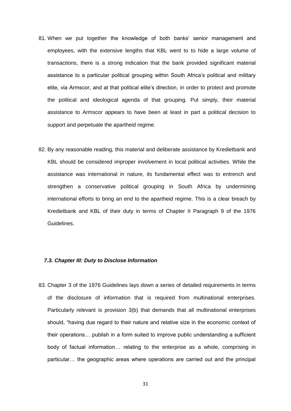- 81. When we put together the knowledge of both banks' senior management and employees, with the extensive lengths that KBL went to to hide a large volume of transactions, there is a strong indication that the bank provided significant material assistance to a particular political grouping within South Africa"s political and military elite, via Armscor, and at that political elite"s direction, in order to protect and promote the political and ideological agenda of that grouping. Put simply, their material assistance to Armscor appears to have been at least in part a political decision to support and perpetuate the apartheid regime.
- 82. By any reasonable reading, this material and deliberate assistance by Kredietbank and KBL should be considered improper involvement in local political activities. While the assistance was international in nature, its fundamental effect was to entrench and strengthen a conservative political grouping in South Africa by undermining international efforts to bring an end to the apartheid regime. This is a clear breach by Kredietbank and KBL of their duty in terms of Chapter II Paragraph 9 of the 1976 Guidelines.

#### *7.3. Chapter III: Duty to Disclose Information*

83. Chapter 3 of the 1976 Guidelines lays down a series of detailed requirements in terms of the disclosure of information that is required from multinational enterprises. Particularly relevant is provision 3(b) that demands that all multinational enterprises should, "having due regard to their nature and relative size in the economic context of their operations… publish in a form suited to improve public understanding a sufficient body of factual information… relating to the enterprise as a whole, comprising in particular… the geographic areas where operations are carried out and the principal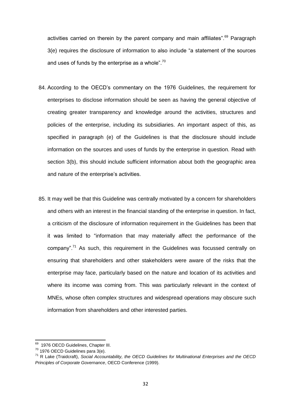activities carried on therein by the parent company and main affiliates". $69$  Paragraph 3(e) requires the disclosure of information to also include "a statement of the sources and uses of funds by the enterprise as a whole".<sup>70</sup>

- 84. According to the OECD"s commentary on the 1976 Guidelines, the requirement for enterprises to disclose information should be seen as having the general objective of creating greater transparency and knowledge around the activities, structures and policies of the enterprise, including its subsidiaries. An important aspect of this, as specified in paragraph (e) of the Guidelines is that the disclosure should include information on the sources and uses of funds by the enterprise in question. Read with section 3(b), this should include sufficient information about both the geographic area and nature of the enterprise's activities.
- 85. It may well be that this Guideline was centrally motivated by a concern for shareholders and others with an interest in the financial standing of the enterprise in question. In fact, a criticism of the disclosure of information requirement in the Guidelines has been that it was limited to "information that may materially affect the performance of the company".<sup>71</sup> As such, this requirement in the Guidelines was focussed centrally on ensuring that shareholders and other stakeholders were aware of the risks that the enterprise may face, particularly based on the nature and location of its activities and where its income was coming from. This was particularly relevant in the context of MNEs, whose often complex structures and widespread operations may obscure such information from shareholders and other interested parties.

<sup>&</sup>lt;sup>69</sup> 1976 OECD Guidelines, Chapter III.

 $70$  1976 OECD Guidelines para 3(e).

<sup>71</sup> R Lake (Traidcraft), *Social Accountability, the OECD Guidelines for Multinational Enterprises and the OECD Principles of Corporate Governance*, OECD Conference (1999).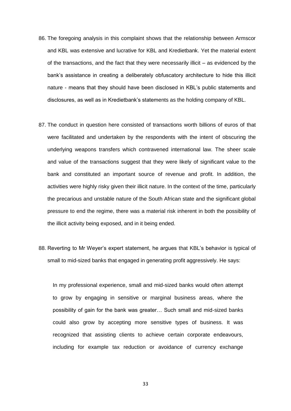- 86. The foregoing analysis in this complaint shows that the relationship between Armscor and KBL was extensive and lucrative for KBL and Kredietbank. Yet the material extent of the transactions, and the fact that they were necessarily illicit – as evidenced by the bank"s assistance in creating a deliberately obfuscatory architecture to hide this illicit nature - means that they should have been disclosed in KBL"s public statements and disclosures, as well as in Kredietbank"s statements as the holding company of KBL.
- 87. The conduct in question here consisted of transactions worth billions of euros of that were facilitated and undertaken by the respondents with the intent of obscuring the underlying weapons transfers which contravened international law. The sheer scale and value of the transactions suggest that they were likely of significant value to the bank and constituted an important source of revenue and profit. In addition, the activities were highly risky given their illicit nature. In the context of the time, particularly the precarious and unstable nature of the South African state and the significant global pressure to end the regime, there was a material risk inherent in both the possibility of the illicit activity being exposed, and in it being ended.
- 88. Reverting to Mr Weyer's expert statement, he argues that KBL's behavior is typical of small to mid-sized banks that engaged in generating profit aggressively. He says:

In my professional experience, small and mid-sized banks would often attempt to grow by engaging in sensitive or marginal business areas, where the possibility of gain for the bank was greater… Such small and mid-sized banks could also grow by accepting more sensitive types of business. It was recognized that assisting clients to achieve certain corporate endeavours, including for example tax reduction or avoidance of currency exchange

33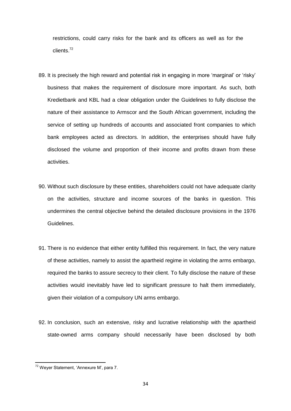restrictions, could carry risks for the bank and its officers as well as for the clients. 72

- 89. It is precisely the high reward and potential risk in engaging in more 'marginal' or 'risky' business that makes the requirement of disclosure more important. As such, both Kredietbank and KBL had a clear obligation under the Guidelines to fully disclose the nature of their assistance to Armscor and the South African government, including the service of setting up hundreds of accounts and associated front companies to which bank employees acted as directors. In addition, the enterprises should have fully disclosed the volume and proportion of their income and profits drawn from these activities.
- 90. Without such disclosure by these entities, shareholders could not have adequate clarity on the activities, structure and income sources of the banks in question. This undermines the central objective behind the detailed disclosure provisions in the 1976 Guidelines.
- 91. There is no evidence that either entity fulfilled this requirement. In fact, the very nature of these activities, namely to assist the apartheid regime in violating the arms embargo, required the banks to assure secrecy to their client. To fully disclose the nature of these activities would inevitably have led to significant pressure to halt them immediately, given their violation of a compulsory UN arms embargo.
- 92. In conclusion, such an extensive, risky and lucrative relationship with the apartheid state-owned arms company should necessarily have been disclosed by both

<sup>&</sup>lt;sup>72</sup> Weyer Statement, 'Annexure M', para 7.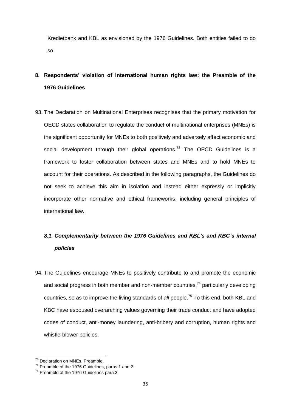Kredietbank and KBL as envisioned by the 1976 Guidelines. Both entities failed to do so.

# **8. Respondents' violation of international human rights law: the Preamble of the 1976 Guidelines**

93. The Declaration on Multinational Enterprises recognises that the primary motivation for OECD states collaboration to regulate the conduct of multinational enterprises (MNEs) is the significant opportunity for MNEs to both positively and adversely affect economic and social development through their global operations.<sup>73</sup> The OECD Guidelines is a framework to foster collaboration between states and MNEs and to hold MNEs to account for their operations. As described in the following paragraphs, the Guidelines do not seek to achieve this aim in isolation and instead either expressly or implicitly incorporate other normative and ethical frameworks, including general principles of international law.

## *8.1. Complementarity between the 1976 Guidelines and KBL's and KBC's internal policies*

94. The Guidelines encourage MNEs to positively contribute to and promote the economic and social progress in both member and non-member countries,<sup>74</sup> particularly developing countries, so as to improve the living standards of *all* people.<sup>75</sup> To this end, both KBL and KBC have espoused overarching values governing their trade conduct and have adopted codes of conduct, anti-money laundering, anti-bribery and corruption, human rights and whistle-blower policies.

<sup>&</sup>lt;sup>73</sup> Declaration on MNEs, Preamble.

<sup>74</sup> Preamble of the 1976 Guidelines, paras 1 and 2.

 $75$  Preamble of the 1976 Guidelines para 3.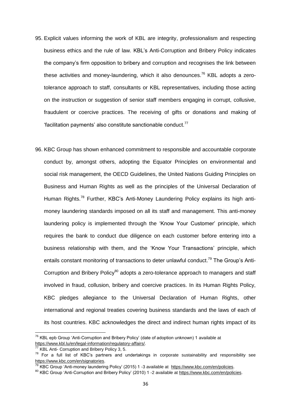- 95. Explicit values informing the work of KBL are integrity, professionalism and respecting business ethics and the rule of law. KBL"s Anti-Corruption and Bribery Policy indicates the company"s firm opposition to bribery and corruption and recognises the link between these activities and money-laundering, which it also denounces.<sup>76</sup> KBL adopts a zerotolerance approach to staff, consultants or KBL representatives, including those acting on the instruction or suggestion of senior staff members engaging in corrupt, collusive, fraudulent or coercive practices. The receiving of gifts or donations and making of  $'$ facilitation payments' also constitute sanctionable conduct. $''$
- 96. KBC Group has shown enhanced commitment to responsible and accountable corporate conduct by, amongst others, adopting the Equator Principles on environmental and social risk management, the OECD Guidelines, the United Nations Guiding Principles on Business and Human Rights as well as the principles of the Universal Declaration of Human Rights.<sup>78</sup> Further, KBC's Anti-Money Laundering Policy explains its high antimoney laundering standards imposed on all its staff and management. This anti-money laundering policy is implemented through the "Know Your Customer" principle, which requires the bank to conduct due diligence on each customer before entering into a business relationship with them, and the "Know Your Transactions" principle, which entails constant monitoring of transactions to deter unlawful conduct.<sup>79</sup> The Group's Anti-Corruption and Bribery Policy<sup>80</sup> adopts a zero-tolerance approach to managers and staff involved in fraud, collusion, bribery and coercive practices. In its Human Rights Policy, KBC pledges allegiance to the Universal Declaration of Human Rights, other international and regional treaties covering business standards and the laws of each of its host countries. KBC acknowledges the direct and indirect human rights impact of its

 $^{76}$  KBL epb Group 'Anti-Corruption and Bribery Policy' (date of adoption unknown) 1 available at [https://www.kbl.lu/en/legal-information/regulatory-affairs/.](https://www.kbl.lu/en/legal-information/regulatory-affairs/)

<sup>77</sup> KBL Anti- Corruption and Bribery Policy 3, 5.

 $78$  For a full list of KBC's partners and undertakings in corporate sustainability and responsibility see [https://www.kbc.com/en/signatories.](https://www.kbc.com/en/signatories)

<sup>79</sup> KBC Group "Anti-money laundering Policy" (2015) 1 -3 available at [https://www.kbc.com/en/policies.](https://www.kbc.com/en/policies)

<sup>80</sup> KBC Group "Anti-Corruption and Bribery Policy" (2010) 1 -2 available at [https://www.kbc.com/en/policies.](https://www.kbc.com/en/policies)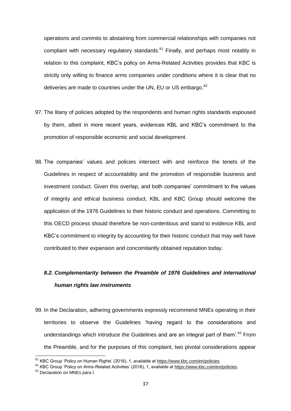operations and commits to abstaining from commercial relationships with companies not compliant with necessary regulatory standards.<sup>81</sup> Finally, and perhaps most notably in relation to this complaint, KBC"s policy on Arms-Related Activities provides that KBC is strictly only willing to finance arms companies under conditions where it is clear that no deliveries are made to countries under the UN, EU or US embargo.<sup>82</sup>

- 97. The litany of policies adopted by the respondents and human rights standards espoused by them, albeit in more recent years, evidences KBL and KBC"s commitment to the promotion of responsible economic and social development.
- 98. The companies" values and policies intersect with and reinforce the tenets of the Guidelines in respect of accountability and the promotion of responsible business and investment conduct. Given this overlap, and both companies' commitment to the values of integrity and ethical business conduct, KBL and KBC Group should welcome the application of the 1976 Guidelines to their historic conduct and operations. Committing to this OECD process should therefore be non-contentious and stand to evidence KBL and KBC"s commitment to integrity by accounting for their historic conduct that may well have contributed to their expansion and concomitantly obtained reputation today.

# *8.2. Complementarity between the Preamble of 1976 Guidelines and international human rights law instruments*

99. In the Declaration, adhering governments expressly recommend MNEs operating in their territories to observe the Guidelines "having regard to the considerations and understandings which introduce the Guidelines and are an integral part of them'.<sup>83</sup> From the Preamble, and for the purposes of this complaint, two pivotal considerations appear

<sup>&</sup>lt;sup>81</sup> KBC Group 'Policy on Human Rights' (2016), 1, available at [https://www.kbc.com/en/policies.](https://www.kbc.com/en/policies)

<sup>82</sup> KBC Group 'Policy on Arms-Related Activities' (2016), 1, available at [https://www.kbc.com/en/policies.](https://www.kbc.com/en/policies)

<sup>83</sup> Declaration on MNEs para I.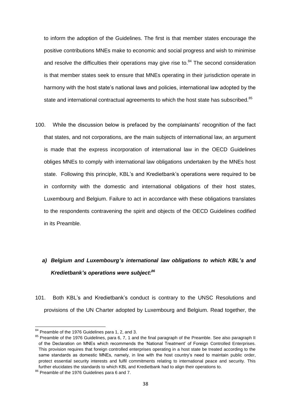to inform the adoption of the Guidelines. The first is that member states encourage the positive contributions MNEs make to economic and social progress and wish to minimise and resolve the difficulties their operations may give rise to. $84$  The second consideration is that member states seek to ensure that MNEs operating in their jurisdiction operate in harmony with the host state's national laws and policies, international law adopted by the state and international contractual agreements to which the host state has subscribed.<sup>85</sup>

100. While the discussion below is prefaced by the complainants" recognition of the fact that states, and not corporations, are the main subjects of international law, an argument is made that the express incorporation of international law in the OECD Guidelines obliges MNEs to comply with international law obligations undertaken by the MNEs host state. Following this principle, KBL"s and Kredietbank"s operations were required to be in conformity with the domestic and international obligations of their host states, Luxembourg and Belgium. Failure to act in accordance with these obligations translates to the respondents contravening the spirit and objects of the OECD Guidelines codified in its Preamble.

# *a) Belgium and Luxembourg's international law obligations to which KBL's and Kredietbank's operations were subject:<sup>86</sup>*

101. Both KBL"s and Kredietbank"s conduct is contrary to the UNSC Resolutions and provisions of the UN Charter adopted by Luxembourg and Belgium. Read together, the

<sup>&</sup>lt;sup>84</sup> Preamble of the 1976 Guidelines para 1, 2, and 3.

<sup>&</sup>lt;sup>85</sup> Preamble of the 1976 Guidelines, para 6, 7, 1 and the final paragraph of the Preamble. See also paragraph II of the Declaration on MNEs which recommends the "National Treatment" of Foreign Controlled Enterprises. This provision requires that foreign controlled enterprises operating in a host state be treated according to the same standards as domestic MNEs, namely, in line with the host country's need to maintain public order, protect essential security interests and fulfil commitments relating to international peace and security. This further elucidates the standards to which KBL and Kredietbank had to align their operations to.

<sup>86</sup> Preamble of the 1976 Guidelines para 6 and 7.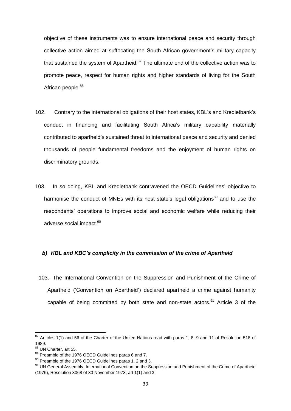objective of these instruments was to ensure international peace and security through collective action aimed at suffocating the South African government's military capacity that sustained the system of Apartheid.<sup>87</sup> The ultimate end of the collective action was to promote peace, respect for human rights and higher standards of living for the South African people.<sup>88</sup>

- 102. Contrary to the international obligations of their host states, KBL"s and Kredietbank"s conduct in financing and facilitating South Africa"s military capability materially contributed to apartheid"s sustained threat to international peace and security and denied thousands of people fundamental freedoms and the enjoyment of human rights on discriminatory grounds.
- 103. In so doing, KBL and Kredietbank contravened the OECD Guidelines" objective to harmonise the conduct of MNEs with its host state's legal obligations<sup>89</sup> and to use the respondents" operations to improve social and economic welfare while reducing their adverse social impact.<sup>90</sup>

#### *b) KBL and KBC's complicity in the commission of the crime of Apartheid*

103. The International Convention on the Suppression and Punishment of the Crime of Apartheid ("Convention on Apartheid") declared apartheid a crime against humanity capable of being committed by both state and non-state actors.<sup>91</sup> Article 3 of the

 $87$  Articles 1(1) and 56 of the Charter of the United Nations read with paras 1, 8, 9 and 11 of Resolution 518 of 1989.

<sup>88</sup> UN Charter, art 55.

<sup>89</sup> Preamble of the 1976 OECD Guidelines paras 6 and 7.

<sup>&</sup>lt;sup>90</sup> Preamble of the 1976 OECD Guidelines paras 1, 2 and 3.

<sup>&</sup>lt;sup>91</sup> UN General Assembly, International Convention on the Suppression and Punishment of the Crime of Apartheid (1976), Resolution 3068 of 30 November 1973, art 1(1) and 3.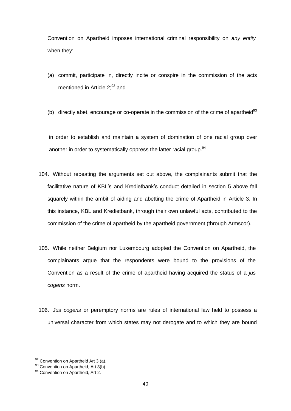Convention on Apartheid imposes international criminal responsibility on *any entity* when they:

- (a) commit, participate in, directly incite or conspire in the commission of the acts mentioned in Article  $2;^{92}$  and
- (b) directly abet, encourage or co-operate in the commission of the crime of apartheid<sup>93</sup>

in order to establish and maintain a system of domination of one racial group over another in order to systematically oppress the latter racial group.<sup>94</sup>

- 104. Without repeating the arguments set out above, the complainants submit that the facilitative nature of KBL's and Kredietbank's conduct detailed in section 5 above fall squarely within the ambit of aiding and abetting the crime of Apartheid in Article 3. In this instance, KBL and Kredietbank, through their own unlawful acts, contributed to the commission of the crime of apartheid by the apartheid government (through Armscor).
- 105. While neither Belgium nor Luxembourg adopted the Convention on Apartheid, the complainants argue that the respondents were bound to the provisions of the Convention as a result of the crime of apartheid having acquired the status of a *jus cogens* norm.
- 106. *Jus cogens* or peremptory norms are rules of international law held to possess a universal character from which states may not derogate and to which they are bound

 $92$  Convention on Apartheid Art 3 (a).

<sup>93</sup> Convention on Apartheid, Art 3(b).

<sup>&</sup>lt;sup>94</sup> Convention on Apartheid, Art 2.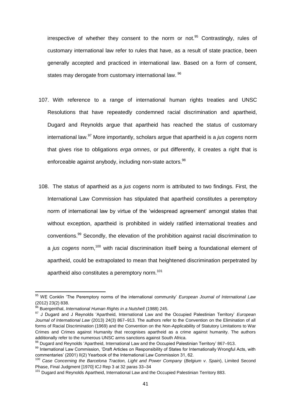irrespective of whether they consent to the norm or not.<sup>95</sup> Contrastingly, rules of customary international law refer to rules that have, as a result of state practice, been generally accepted and practiced in international law. Based on a form of consent, states may derogate from customary international law. <sup>96</sup>

- 107. With reference to a range of international human rights treaties and UNSC Resolutions that have repeatedly condemned racial discrimination and apartheid, Dugard and Reynolds argue that apartheid has reached the status of customary international law.<sup>97</sup> More importantly, scholars argue that apartheid is a *jus cogens* norm that gives rise to obligations *erga omnes*, or put differently, it creates a right that is enforceable against anybody, including non-state actors.<sup>98</sup>
- 108. The status of apartheid as a *jus cogens* norm is attributed to two findings. First, the International Law Commission has stipulated that apartheid constitutes a peremptory norm of international law by virtue of the "widespread agreement" amongst states that without exception, apartheid is prohibited in widely ratified international treaties and conventions.<sup>99</sup> Secondly, the elevation of the prohibition against racial discrimination to a *jus cogens* norm,<sup>100</sup> with racial discrimination itself being a foundational element of apartheid, could be extrapolated to mean that heightened discrimination perpetrated by apartheid also constitutes a peremptory norm.<sup>101</sup>

<sup>&</sup>lt;sup>95</sup> WE Conklin 'The Peremptory norms of the international community' *European Journal of International Law* (2012) 23(2) 838.

<sup>96</sup> Buergenthal, *International Human Rights in a Nutshell* (1988) 245.

<sup>97</sup> J Dugard and J Reynolds "Apartheid, International Law and the Occupied Palestinian Territory" *European Journal of International Law* (2013) 24(3) 867–913. The authors refer to the Convention on the Elimination of all forms of Racial Discrimination (1969) and the Convention on the Non-Applicability of Statutory Limitations to War Crimes and Crimes against Humanity that recognises apartheid as a crime against humanity. The authors additionally refer to the numerous UNSC arms sanctions against South Africa.

<sup>98</sup> Dugard and Reynolds "Apartheid, International Law and the Occupied Palestinian Territory" 867–913.

<sup>99</sup> International Law Commission, 'Draft Articles on Responsibility of States for Internationally Wrongful Acts, with commentaries" (2001) II(2) Yearbook of the International Law Commission 31, 62.

<sup>100</sup> *Case Concerning the Barcelona Traction, Light and Power Company* (*Belgium v*. *Spain*), Limited Second Phase, Final Judgment [1970] ICJ Rep 3 at 32 paras 33–34

<sup>&</sup>lt;sup>101</sup> Dugard and Reynolds Apartheid, International Law and the Occupied Palestinian Territory 883.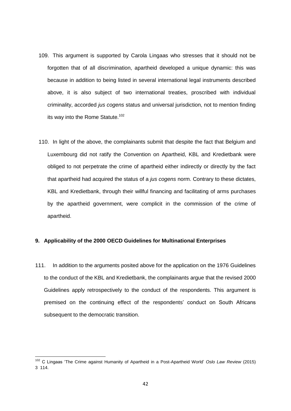- 109. This argument is supported by Carola Lingaas who stresses that it should not be forgotten that of all discrimination, apartheid developed a unique dynamic: this was because in addition to being listed in several international legal instruments described above, it is also subject of two international treaties, proscribed with individual criminality, accorded *jus cogens* status and universal jurisdiction, not to mention finding its way into the Rome Statute.<sup>102</sup>
- 110. In light of the above, the complainants submit that despite the fact that Belgium and Luxembourg did not ratify the Convention on Apartheid, KBL and Kredietbank were obliged to not perpetrate the crime of apartheid either indirectly or directly by the fact that apartheid had acquired the status of a *jus cogens* norm. Contrary to these dictates, KBL and Kredietbank, through their willful financing and facilitating of arms purchases by the apartheid government, were complicit in the commission of the crime of apartheid.

### **9. Applicability of the 2000 OECD Guidelines for Multinational Enterprises**

111. In addition to the arguments posited above for the application on the 1976 Guidelines to the conduct of the KBL and Kredietbank, the complainants argue that the revised 2000 Guidelines apply retrospectively to the conduct of the respondents. This argument is premised on the continuing effect of the respondents" conduct on South Africans subsequent to the democratic transition.

<sup>102</sup> C Lingaas "The Crime against Humanity of Apartheid in a Post-Apartheid World" *Oslo Law Review* (2015) 3 114.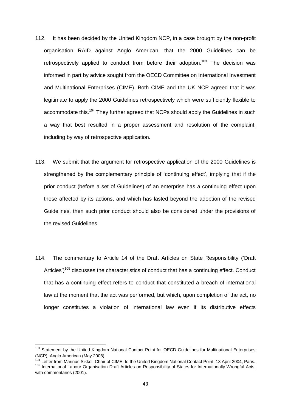- 112. It has been decided by the United Kingdom NCP, in a case brought by the non-profit organisation RAID against Anglo American, that the 2000 Guidelines can be retrospectively applied to conduct from before their adoption.<sup>103</sup> The decision was informed in part by advice sought from the OECD Committee on International Investment and Multinational Enterprises (CIME). Both CIME and the UK NCP agreed that it was legitimate to apply the 2000 Guidelines retrospectively which were sufficiently flexible to accommodate this.<sup>104</sup> They further agreed that NCPs should apply the Guidelines in such a way that best resulted in a proper assessment and resolution of the complaint, including by way of retrospective application.
- 113. We submit that the argument for retrospective application of the 2000 Guidelines is strengthened by the complementary principle of "continuing effect", implying that if the prior conduct (before a set of Guidelines) of an enterprise has a continuing effect upon those affected by its actions, and which has lasted beyond the adoption of the revised Guidelines, then such prior conduct should also be considered under the provisions of the revised Guidelines.
- 114. The commentary to Article 14 of the Draft Articles on State Responsibility ("Draft Articles')<sup>105</sup> discusses the characteristics of conduct that has a continuing effect. Conduct that has a continuing effect refers to conduct that constituted a breach of international law at the moment that the act was performed, but which, upon completion of the act, no longer constitutes a violation of international law even if its distributive effects

 $\overline{a}$ 

<sup>&</sup>lt;sup>103</sup> Statement by the United Kingdom National Contact Point for OECD Guidelines for Multinational Enterprises (NCP): Anglo American (May 2008).

<sup>&</sup>lt;sup>104</sup> Letter from Marinus Sikkel, Chair of CIME, to the United Kingdom National Contact Point, 13 April 2004, Paris. <sup>105</sup> International Labour Organisation Draft Articles on Responsibility of States for Internationally Wrongful Acts, with commentaries (2001).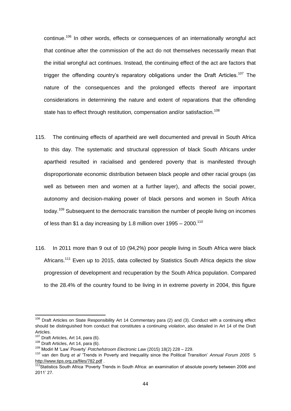continue.<sup>106</sup> In other words, effects or consequences of an internationally wrongful act that continue after the commission of the act do not themselves necessarily mean that the initial wrongful act continues. Instead, the continuing effect of the act are factors that trigger the offending country's reparatory obligations under the Draft Articles.<sup>107</sup> The nature of the consequences and the prolonged effects thereof are important considerations in determining the nature and extent of reparations that the offending state has to effect through restitution, compensation and/or satisfaction.<sup>108</sup>

- 115. The continuing effects of apartheid are well documented and prevail in South Africa to this day. The systematic and structural oppression of black South Africans under apartheid resulted in racialised and gendered poverty that is manifested through disproportionate economic distribution between black people and other racial groups (as well as between men and women at a further layer), and affects the social power, autonomy and decision-making power of black persons and women in South Africa today.<sup>109</sup> Subsequent to the democratic transition the number of people living on incomes of less than \$1 a day increasing by 1.8 million over  $1995 - 2000$ .<sup>110</sup>
- 116. In 2011 more than 9 out of 10 (94,2%) poor people living in South Africa were black Africans.<sup>111</sup> Even up to 2015, data collected by Statistics South Africa depicts the slow progression of development and recuperation by the South Africa population. Compared to the 28.4% of the country found to be living in in extreme poverty in 2004, this figure

<sup>&</sup>lt;sup>106</sup> Draft Articles on State Responsibility Art 14 Commentary para (2) and (3). Conduct with a continuing effect should be distinguished from conduct that constitutes a continuing *violation*, also detailed in Art 14 of the Draft Articles.

<sup>&</sup>lt;sup>107</sup> Draft Articles, Art 14, para (6).

<sup>&</sup>lt;sup>108</sup> Draft Articles, Art 14, para (6).

<sup>109</sup> Modiri M "Law" Poverty" *Potchefstroom Electronic Law* (2015) 18(2) 228 – 229.

<sup>110</sup> van den Burg *et al* "Trends in Poverty and Inequality since the Political Transition" *Annual Forum 2005* 5 <http://www.tips.org.za/files/782.pdf> .

<sup>111&</sup>lt;sub>Statistics</sub> South Africa 'Poverty Trends in South Africa: an examination of absolute poverty between 2006 and 2011" 27.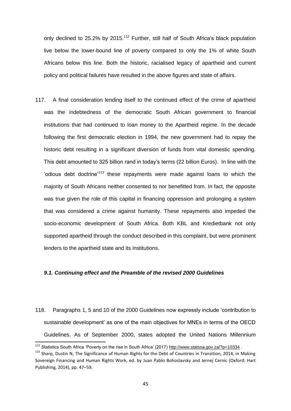only declined to 25.2% by 2015.<sup>112</sup> Further, still half of South Africa's black population live below the lower-bound line of poverty compared to only the 1% of white South Africans below this line. Both the historic, racialised legacy of apartheid and current policy and political failures have resulted in the above figures and state of affairs.

117. A final consideration lending itself to the continued effect of the crime of apartheid was the indebtedness of the democratic South African government to financial institutions that had continued to loan money to the Apartheid regime. In the decade following the first democratic election in 1994, the new government had to repay the historic debt resulting in a significant diversion of funds from vital domestic spending. This debt amounted to 325 billion rand in today"s terms (22 billion Euros). In line with the "odious debt doctrine"<sup>113</sup> these repayments were made against loans to which the majority of South Africans neither consented to nor benefitted from. In fact, the opposite was true given the role of this capital in financing oppression and prolonging a system that was considered a crime against humanity. These repayments also impeded the socio-economic development of South Africa. Both KBL and Kredietbank not only supported apartheid through the conduct described in this complaint, but were prominent lenders to the apartheid state and its institutions.

#### *9.1. Continuing effect and the Preamble of the revised 2000 Guidelines*

118. Paragraphs 1, 5 and 10 of the 2000 Guidelines now expressly include "contribution to sustainable development' as one of the main objectives for MNEs in terms of the OECD Guidelines. As of September 2000, states adopted the United Nations Millennium

 $\overline{a}$ 

<sup>112</sup> Statistics South Africa 'Poverty on the rise in South Africa' (2017[\) http://www.statssa.gov.za/?p=10334](http://www.statssa.gov.za/?p=10334).

<sup>&</sup>lt;sup>113</sup> Sharp, Dustin N, The Significance of Human Rights for the Debt of Countries in Transition, 2014, in Making Sovereign Financing and Human Rights Work, ed. by Juan Pablo Bohoslavsky and Jernej Cernic (Oxford: Hart Publishing, 2014), pp. 47–59.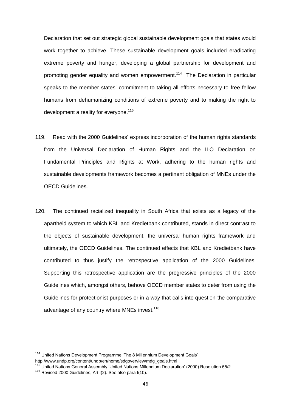Declaration that set out strategic global sustainable development goals that states would work together to achieve. These sustainable development goals included eradicating extreme poverty and hunger, developing a global partnership for development and promoting gender equality and women empowerment.<sup>114</sup> The Declaration in particular speaks to the member states" commitment to taking all efforts necessary to free fellow humans from dehumanizing conditions of extreme poverty and to making the right to development a reality for everyone.<sup>115</sup>

- 119. Read with the 2000 Guidelines" express incorporation of the human rights standards from the Universal Declaration of Human Rights and the ILO Declaration on Fundamental Principles and Rights at Work, adhering to the human rights and sustainable developments framework becomes a pertinent obligation of MNEs under the OECD Guidelines.
- 120. The continued racialized inequality in South Africa that exists as a legacy of the apartheid system to which KBL and Kredietbank contributed, stands in direct contrast to the objects of sustainable development, the universal human rights framework and ultimately, the OECD Guidelines. The continued effects that KBL and Kredietbank have contributed to thus justify the retrospective application of the 2000 Guidelines. Supporting this retrospective application are the progressive principles of the 2000 Guidelines which, amongst others, behove OECD member states to deter from using the Guidelines for protectionist purposes or in a way that calls into question the comparative advantage of any country where MNEs invest.<sup>116</sup>

 $\overline{a}$ 

<sup>&</sup>lt;sup>114</sup> United Nations Development Programme 'The 8 Millennium Development Goals' [http://www.undp.org/content/undp/en/home/sdgoverview/mdg\\_goals.html](http://www.undp.org/content/undp/en/home/sdgoverview/mdg_goals.html) .

<sup>115</sup> United Nations General Assembly "United Nations Millennium Declaration" (2000) Resolution 55/2.

<sup>116</sup> Revised 2000 Guidelines, Art I(2). See also para I(10).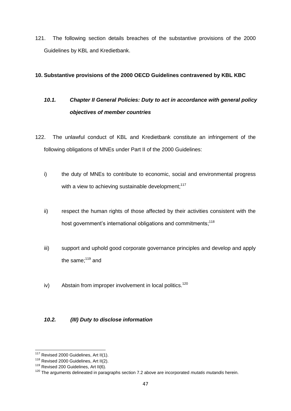121. The following section details breaches of the substantive provisions of the 2000 Guidelines by KBL and Kredietbank.

### **10. Substantive provisions of the 2000 OECD Guidelines contravened by KBL KBC**

# *10.1. Chapter II General Policies: Duty to act in accordance with general policy objectives of member countries*

- 122. The unlawful conduct of KBL and Kredietbank constitute an infringement of the following obligations of MNEs under Part II of the 2000 Guidelines:
	- i) the duty of MNEs to contribute to economic, social and environmental progress with a view to achieving sustainable development:<sup>117</sup>
	- ii) respect the human rights of those affected by their activities consistent with the host government's international obligations and commitments;<sup>118</sup>
	- iii) support and uphold good corporate governance principles and develop and apply the same; $119$  and
	- iv) Abstain from improper involvement in local politics.<sup>120</sup>

### *10.2. (III) Duty to disclose information*

 $\overline{a}$ <sup>117</sup> Revised 2000 Guidelines, Art II(1).

<sup>&</sup>lt;sup>118</sup> Revised 2000 Guidelines, Art II(2).

 $119$  Revised 200 Guidelines, Art II(6).

<sup>120</sup> The arguments delineated in paragraphs section 7.2 above are incorporated *mutatis mutandis* herein.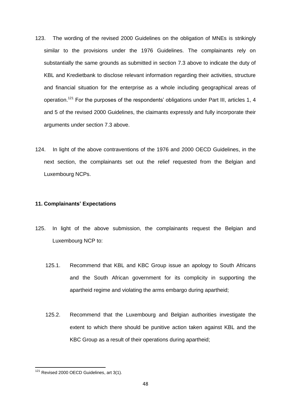- 123. The wording of the revised 2000 Guidelines on the obligation of MNEs is strikingly similar to the provisions under the 1976 Guidelines. The complainants rely on substantially the same grounds as submitted in section 7.3 above to indicate the duty of KBL and Kredietbank to disclose relevant information regarding their activities, structure and financial situation for the enterprise as a whole including geographical areas of operation.<sup>121</sup> For the purposes of the respondents' obligations under Part III, articles 1, 4 and 5 of the revised 2000 Guidelines, the claimants expressly and fully incorporate their arguments under section 7.3 above.
- 124. In light of the above contraventions of the 1976 and 2000 OECD Guidelines, in the next section, the complainants set out the relief requested from the Belgian and Luxembourg NCPs.

#### **11. Complainants' Expectations**

- 125. In light of the above submission, the complainants request the Belgian and Luxembourg NCP to:
	- 125.1. Recommend that KBL and KBC Group issue an apology to South Africans and the South African government for its complicity in supporting the apartheid regime and violating the arms embargo during apartheid;
	- 125.2. Recommend that the Luxembourg and Belgian authorities investigate the extent to which there should be punitive action taken against KBL and the KBC Group as a result of their operations during apartheid;

**<sup>.</sup>**  $121$  Revised 2000 OECD Guidelines, art 3(1).